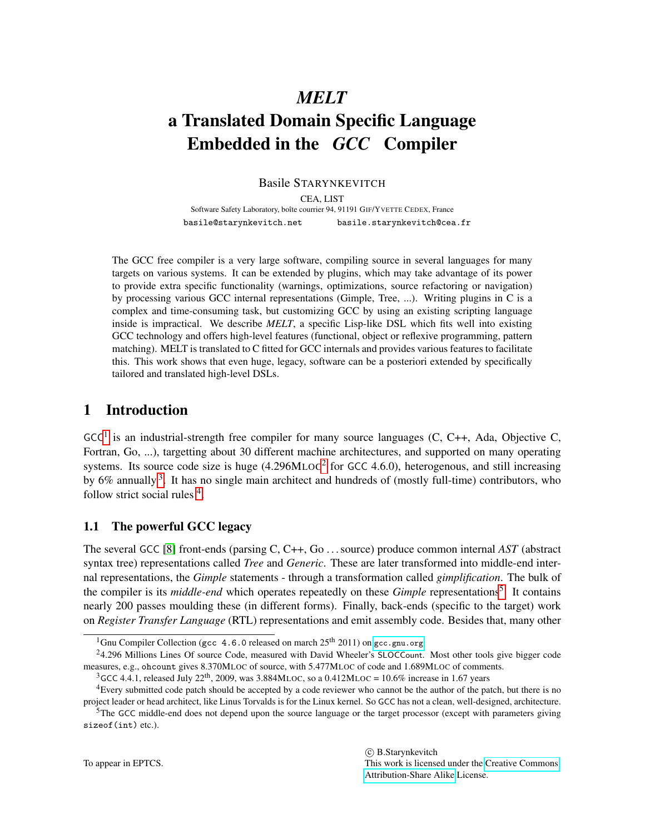# *MELT*

# a Translated Domain Specific Language Embedded in the *GCC* Compiler

Basile STARYNKEVITCH

CEA, LIST

Software Safety Laboratory, boîte courrier 94, 91191 GIF/YVETTE CEDEX, France basile@starynkevitch.net basile.starynkevitch@cea.fr

The GCC free compiler is a very large software, compiling source in several languages for many targets on various systems. It can be extended by plugins, which may take advantage of its power to provide extra specific functionality (warnings, optimizations, source refactoring or navigation) by processing various GCC internal representations (Gimple, Tree, ...). Writing plugins in C is a complex and time-consuming task, but customizing GCC by using an existing scripting language inside is impractical. We describe *MELT*, a specific Lisp-like DSL which fits well into existing GCC technology and offers high-level features (functional, object or reflexive programming, pattern matching). MELT is translated to C fitted for GCC internals and provides various features to facilitate this. This work shows that even huge, legacy, software can be a posteriori extended by specifically tailored and translated high-level DSLs.

# <span id="page-0-6"></span>1 Introduction

 $GCC<sup>1</sup>$  $GCC<sup>1</sup>$  $GCC<sup>1</sup>$  is an industrial-strength free compiler for many source languages (C, C++, Ada, Objective C, Fortran, Go, ...), targetting about 30 different machine architectures, and supported on many operating systems. Its source code size is huge  $(4.296MLOC<sup>2</sup>$  $(4.296MLOC<sup>2</sup>$  $(4.296MLOC<sup>2</sup>$  for GCC 4.6.0), heterogenous, and still increasing by 6% annually <sup>[3](#page-0-2)</sup>. It has no single main architect and hundreds of (mostly full-time) contributors, who follow strict social rules <sup>[4](#page-0-3)</sup>.

## <span id="page-0-5"></span>1.1 The powerful GCC legacy

The several GCC [\[8\]](#page-23-0) front-ends (parsing C, C++, Go . . . source) produce common internal *AST* (abstract syntax tree) representations called *Tree* and *Generic*. These are later transformed into middle-end internal representations, the *Gimple* statements - through a transformation called *gimplification*. The bulk of the compiler is its *middle-end* which operates repeatedly on these *Gimple* representations<sup>[5](#page-0-4)</sup>. It contains nearly 200 passes moulding these (in different forms). Finally, back-ends (specific to the target) work on *Register Transfer Language* (RTL) representations and emit assembly code. Besides that, many other

This work is licensed under the [Creative Commons](http://creativecommons.org) [Attribution-Share Alike](http://creativecommons.org/licenses/by-sa/3.0/) License.

c B.Starynkevitch

<span id="page-0-1"></span><span id="page-0-0"></span><sup>&</sup>lt;sup>1</sup>Gnu Compiler Collection (gcc 4.6.0 released on march  $25<sup>th</sup> 2011$ ) on <gcc.gnu.org>

<sup>&</sup>lt;sup>2</sup>4.296 Millions Lines Of source Code, measured with David Wheeler's SLOCCount. Most other tools give bigger code measures, e.g., ohcount gives 8.370MLOC of source, with 5.477MLOC of code and 1.689MLOC of comments.

<span id="page-0-3"></span><span id="page-0-2"></span><sup>&</sup>lt;sup>3</sup>GCC 4.4.1, released July 22<sup>th</sup>, 2009, was 3.884MLOC, so a 0.412MLOC = 10.6% increase in 1.67 years

<sup>4</sup>Every submitted code patch should be accepted by a code reviewer who cannot be the author of the patch, but there is no project leader or head architect, like Linus Torvalds is for the Linux kernel. So GCC has not a clean, well-designed, architecture.

<span id="page-0-4"></span> $5$ The GCC middle-end does not depend upon the source language or the target processor (except with parameters giving sizeof(int) etc.).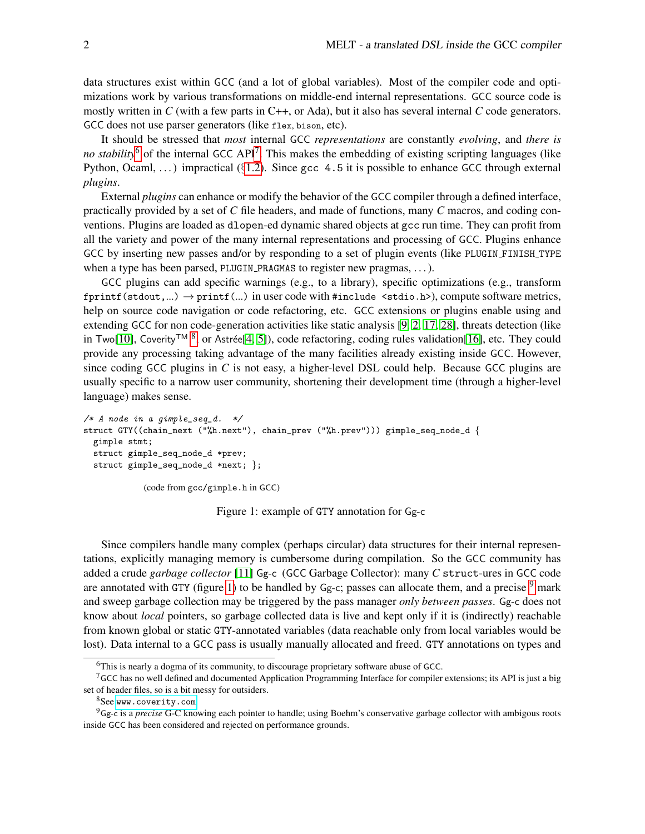data structures exist within GCC (and a lot of global variables). Most of the compiler code and optimizations work by various transformations on middle-end internal representations. GCC source code is mostly written in *C* (with a few parts in C++, or Ada), but it also has several internal *C* code generators. GCC does not use parser generators (like flex, bison, etc).

It should be stressed that *most* internal GCC *representations* are constantly *evolving*, and *there is* no stability<sup>[6](#page-1-0)</sup> of the internal GCC API<sup>[7](#page-1-1)</sup>. This makes the embedding of existing scripting languages (like Python, Ocaml, ...) impractical ( $\S1.2$ ). Since gcc 4.5 it is possible to enhance GCC through external *plugins*.

External *plugins* can enhance or modify the behavior of the GCC compiler through a defined interface, practically provided by a set of *C* file headers, and made of functions, many *C* macros, and coding conventions. Plugins are loaded as dlopen-ed dynamic shared objects at gcc run time. They can profit from all the variety and power of the many internal representations and processing of GCC. Plugins enhance GCC by inserting new passes and/or by responding to a set of plugin events (like PLUGIN\_FINISH\_TYPE when a type has been parsed, PLUGIN\_PRAGMAS to register new pragmas, ... ).

GCC plugins can add specific warnings (e.g., to a library), specific optimizations (e.g., transform fprintf(stdout,...)  $\rightarrow$  printf(...) in user code with #include <stdio.h>), compute software metrics, help on source code navigation or code refactoring, etc. GCC extensions or plugins enable using and extending GCC for non code-generation activities like static analysis [\[9,](#page-23-1) [2,](#page-23-2) [17,](#page-24-0) [28\]](#page-24-1), threats detection (like in Two[\[10\]](#page-23-3), Coverity™ [8](#page-1-2), or Astrée[\[4,](#page-23-4) [5\]](#page-23-5)), code refactoring, coding rules validation[\[16\]](#page-24-2), etc. They could provide any processing taking advantage of the many facilities already existing inside GCC. However, since coding GCC plugins in  $C$  is not easy, a higher-level DSL could help. Because GCC plugins are usually specific to a narrow user community, shortening their development time (through a higher-level language) makes sense.

```
/* A node in a gimple_seq_d. */struct GTY((chain_next ("%h.next"), chain_prev ("%h.prev"))) gimple_seq_node_d {
 gimple stmt;
 struct gimple_seq_node_d *prev;
 struct gimple_seq_node_d *next; };
            (code from gcc/gimple.h in GCC)
```
<span id="page-1-3"></span>Figure 1: example of GTY annotation for Gg-c

Since compilers handle many complex (perhaps circular) data structures for their internal representations, explicitly managing memory is cumbersome during compilation. So the GCC community has added a crude *garbage collector* [\[11\]](#page-23-6) Gg-c (GCC Garbage Collector): many *C* struct-ures in GCC code are annotated with GTY (figure [1\)](#page-1-3) to be handled by Gg-c; passes can allocate them, and a precise  $9$  mark and sweep garbage collection may be triggered by the pass manager *only between passes*. Gg-c does not know about *local* pointers, so garbage collected data is live and kept only if it is (indirectly) reachable from known global or static GTY-annotated variables (data reachable only from local variables would be lost). Data internal to a GCC pass is usually manually allocated and freed. GTY annotations on types and

<span id="page-1-1"></span><span id="page-1-0"></span><sup>&</sup>lt;sup>6</sup>This is nearly a dogma of its community, to discourage proprietary software abuse of GCC.

 $7$  GCC has no well defined and documented Application Programming Interface for compiler extensions; its API is just a big set of header files, so is a bit messy for outsiders.

<span id="page-1-4"></span><span id="page-1-2"></span><sup>&</sup>lt;sup>8</sup>See [www.coverity.com](http://www.coverity.com)

<sup>9</sup>Gg-c is a *precise* G-C knowing each pointer to handle; using Boehm's conservative garbage collector with ambigous roots inside GCC has been considered and rejected on performance grounds.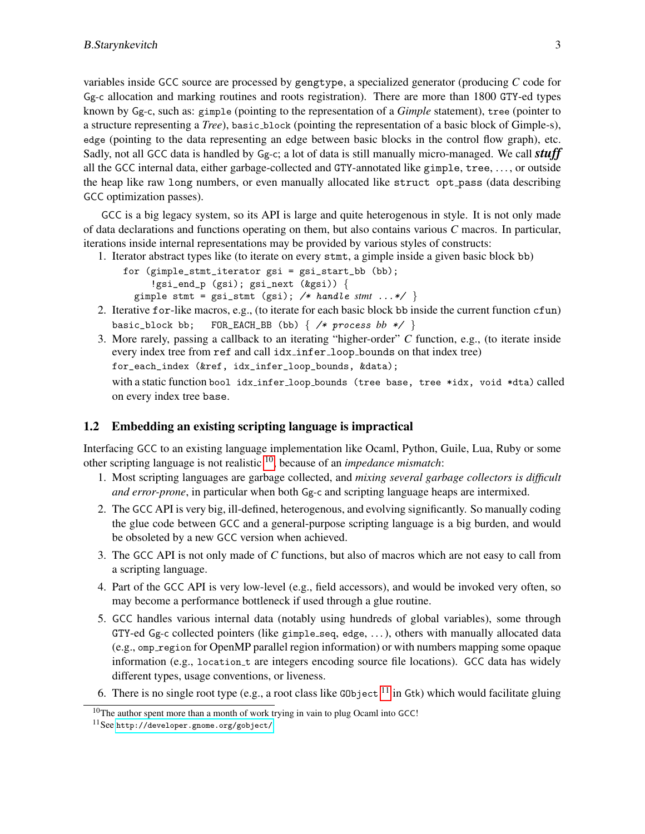variables inside GCC source are processed by gengtype, a specialized generator (producing *C* code for Gg-c allocation and marking routines and roots registration). There are more than 1800 GTY-ed types known by Gg-c, such as: gimple (pointing to the representation of a *Gimple* statement), tree (pointer to a structure representing a *Tree*), basic block (pointing the representation of a basic block of Gimple-s), edge (pointing to the data representing an edge between basic blocks in the control flow graph), etc. Sadly, not all GCC data is handled by Gg-c; a lot of data is still manually micro-managed. We call *stuff* all the GCC internal data, either garbage-collected and GTY-annotated like gimple, tree, . . . , or outside the heap like raw long numbers, or even manually allocated like struct opt pass (data describing GCC optimization passes).

GCC is a big legacy system, so its API is large and quite heterogenous in style. It is not only made of data declarations and functions operating on them, but also contains various *C* macros. In particular, iterations inside internal representations may be provided by various styles of constructs:

1. Iterator abstract types like (to iterate on every stmt, a gimple inside a given basic block bb)

```
for (gimple_stmt_iterator gsi = gsi_start_bb (bb);
     !gsi_end_p (gsi); gsi_next (&gsi)) {
```
- gimple stmt = gsi\_stmt (gsi); /\* handle *stmt* ...\*/ }
- 2. Iterative for-like macros, e.g., (to iterate for each basic block bb inside the current function cfun) basic\_block bb; FOR\_EACH\_BB (bb)  $\{$  /\* process bb \*/  $\}$
- 3. More rarely, passing a callback to an iterating "higher-order" *C* function, e.g., (to iterate inside every index tree from ref and call idx infer loop bounds on that index tree) for\_each\_index (&ref, idx\_infer\_loop\_bounds, &data); with a static function bool idx infer loop bounds (tree base, tree \*idx, void \*dta) called on every index tree base.

#### <span id="page-2-0"></span>1.2 Embedding an existing scripting language is impractical

Interfacing GCC to an existing language implementation like Ocaml, Python, Guile, Lua, Ruby or some other scripting language is not realistic [10](#page-2-1), because of an *impedance mismatch*:

- <span id="page-2-3"></span>1. Most scripting languages are garbage collected, and *mixing several garbage collectors is difficult and error-prone*, in particular when both Gg-c and scripting language heaps are intermixed.
- <span id="page-2-4"></span>2. The GCC API is very big, ill-defined, heterogenous, and evolving significantly. So manually coding the glue code between GCC and a general-purpose scripting language is a big burden, and would be obsoleted by a new GCC version when achieved.
- <span id="page-2-5"></span>3. The GCC API is not only made of *C* functions, but also of macros which are not easy to call from a scripting language.
- <span id="page-2-6"></span>4. Part of the GCC API is very low-level (e.g., field accessors), and would be invoked very often, so may become a performance bottleneck if used through a glue routine.
- <span id="page-2-7"></span>5. GCC handles various internal data (notably using hundreds of global variables), some through GTY-ed Gg-c collected pointers (like gimple seq, edge, . . . ), others with manually allocated data (e.g., omp region for OpenMP parallel region information) or with numbers mapping some opaque information (e.g., location t are integers encoding source file locations). GCC data has widely different types, usage conventions, or liveness.
- <span id="page-2-8"></span>6. There is no single root type (e.g., a root class like G0bject  $<sup>11</sup>$  $<sup>11</sup>$  $<sup>11</sup>$  in Gtk) which would facilitate gluing</sup>

<span id="page-2-1"></span><sup>&</sup>lt;sup>10</sup>The author spent more than a month of work trying in vain to plug Ocaml into GCC!

<span id="page-2-2"></span><sup>11</sup>See <http://developer.gnome.org/gobject/>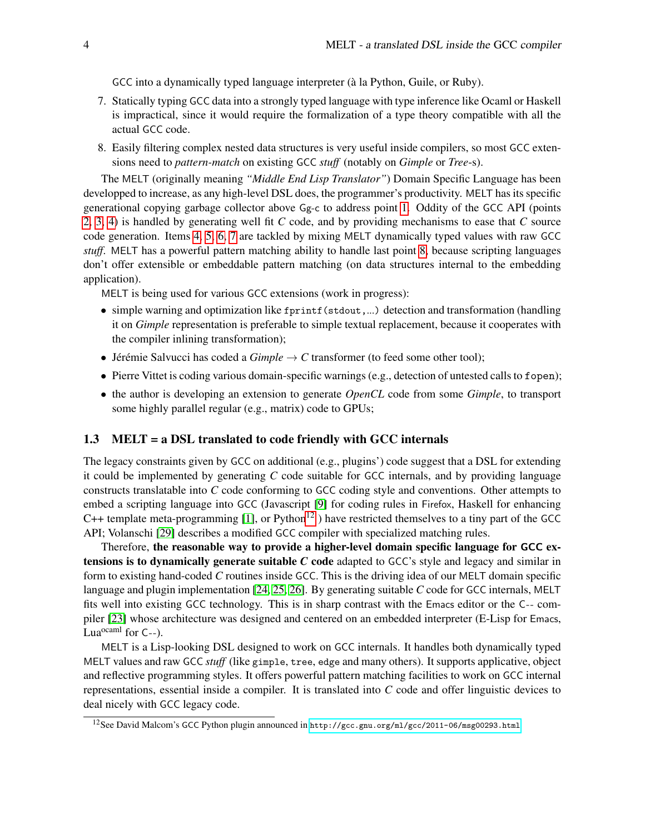GCC into a dynamically typed language interpreter (à la Python, Guile, or Ruby).

- <span id="page-3-0"></span>7. Statically typing GCC data into a strongly typed language with type inference like Ocaml or Haskell is impractical, since it would require the formalization of a type theory compatible with all the actual GCC code.
- <span id="page-3-1"></span>8. Easily filtering complex nested data structures is very useful inside compilers, so most GCC extensions need to *pattern-match* on existing GCC *stuff* (notably on *Gimple* or *Tree*-s).

The MELT (originally meaning *"Middle End Lisp Translator"*) Domain Specific Language has been developped to increase, as any high-level DSL does, the programmer's productivity. MELT has its specific generational copying garbage collector above Gg-c to address point [1.](#page-2-3) Oddity of the GCC API (points [2,](#page-2-4) [3,](#page-2-5) [4\)](#page-2-6) is handled by generating well fit *C* code, and by providing mechanisms to ease that *C* source code generation. Items [4,](#page-2-6) [5,](#page-2-7) [6,](#page-2-8) [7](#page-3-0) are tackled by mixing MELT dynamically typed values with raw GCC *stuff*. MELT has a powerful pattern matching ability to handle last point [8,](#page-3-1) because scripting languages don't offer extensible or embeddable pattern matching (on data structures internal to the embedding application).

MELT is being used for various GCC extensions (work in progress):

- simple warning and optimization like fprintf(stdout,...) detection and transformation (handling it on *Gimple* representation is preferable to simple textual replacement, because it cooperates with the compiler inlining transformation);
- Jérémie Salvucci has coded a  $Gimple \rightarrow C$  transformer (to feed some other tool);
- Pierre Vittet is coding various domain-specific warnings (e.g., detection of untested calls to fopen);
- the author is developing an extension to generate *OpenCL* code from some *Gimple*, to transport some highly parallel regular (e.g., matrix) code to GPUs;

#### 1.3 MELT = a DSL translated to code friendly with GCC internals

The legacy constraints given by GCC on additional (e.g., plugins') code suggest that a DSL for extending it could be implemented by generating *C* code suitable for GCC internals, and by providing language constructs translatable into *C* code conforming to GCC coding style and conventions. Other attempts to embed a scripting language into GCC (Javascript [\[9\]](#page-23-1) for coding rules in Firefox, Haskell for enhancing C++ template meta-programming  $[1]$ , or Python<sup>[12](#page-3-2)</sup>) have restricted themselves to a tiny part of the GCC API; Volanschi [\[29\]](#page-24-3) describes a modified GCC compiler with specialized matching rules.

Therefore, the reasonable way to provide a higher-level domain specific language for GCC extensions is to dynamically generate suitable *C* code adapted to GCC's style and legacy and similar in form to existing hand-coded *C* routines inside GCC. This is the driving idea of our MELT domain specific language and plugin implementation [\[24,](#page-24-4) [25,](#page-24-5) [26\]](#page-24-6). By generating suitable *C* code for GCC internals, MELT fits well into existing GCC technology. This is in sharp contrast with the Emacs editor or the C-- compiler [\[23\]](#page-24-7) whose architecture was designed and centered on an embedded interpreter (E-Lisp for Emacs, Lua<sup>ocaml</sup> for  $C$ --).

MELT is a Lisp-looking DSL designed to work on GCC internals. It handles both dynamically typed MELT values and raw GCC *stuff* (like gimple, tree, edge and many others). It supports applicative, object and reflective programming styles. It offers powerful pattern matching facilities to work on GCC internal representations, essential inside a compiler. It is translated into *C* code and offer linguistic devices to deal nicely with GCC legacy code.

<span id="page-3-2"></span><sup>12</sup>See David Malcom's GCC Python plugin announced in <http://gcc.gnu.org/ml/gcc/2011-06/msg00293.html>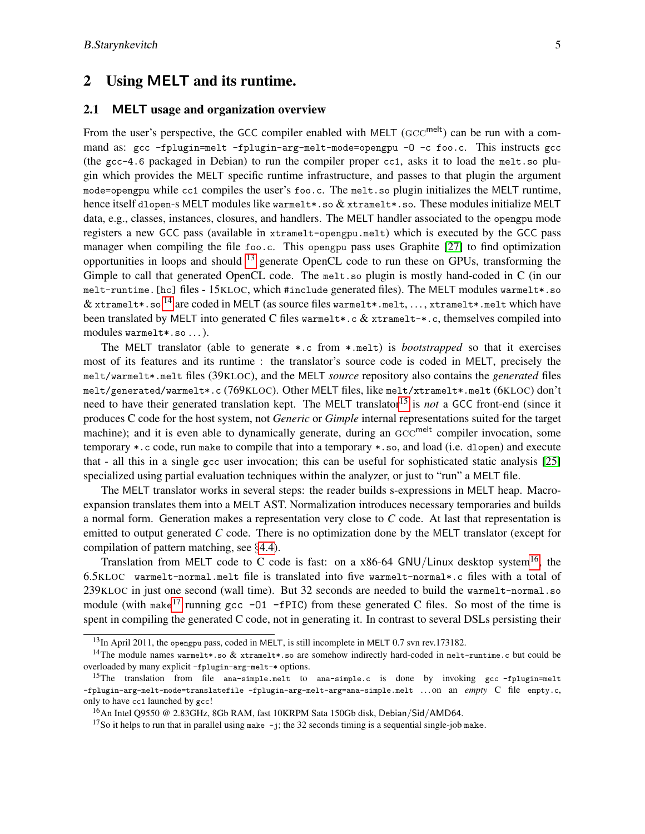## <span id="page-4-5"></span>2 Using MELT and its runtime.

#### 2.1 MELT usage and organization overview

From the user's perspective, the GCC compiler enabled with MELT ( $\text{GCC}^{\text{melt}}$ ) can be run with a command as: gcc -fplugin=melt -fplugin-arg-melt-mode=opengpu -O -c foo.c. This instructs gcc (the gcc-4.6 packaged in Debian) to run the compiler proper cc1, asks it to load the melt.so plugin which provides the MELT specific runtime infrastructure, and passes to that plugin the argument mode=opengpu while cc1 compiles the user's foo.c. The melt.so plugin initializes the MELT runtime, hence itself dlopen-s MELT modules like warmelt\*.so & xtramelt\*.so. These modules initialize MELT data, e.g., classes, instances, closures, and handlers. The MELT handler associated to the opengpu mode registers a new GCC pass (available in xtramelt-opengpu.melt) which is executed by the GCC pass manager when compiling the file foo.c. This opengpu pass uses Graphite [\[27\]](#page-24-8) to find optimization opportunities in loops and should [13](#page-4-0) generate OpenCL code to run these on GPUs, transforming the Gimple to call that generated OpenCL code. The melt.so plugin is mostly hand-coded in C (in our melt-runtime.[hc] files - 15KLOC, which #include generated files). The MELT modules warmelt\*.so & xtramelt\*.so<sup>[14](#page-4-1)</sup> are coded in MELT (as source files warmelt\*.melt, ..., xtramelt\*.melt which have been translated by MELT into generated C files warmelt\*.c & xtramelt-\*.c, themselves compiled into modules warmelt\*.so ...).

The MELT translator (able to generate \*.c from \*.melt) is *bootstrapped* so that it exercises most of its features and its runtime : the translator's source code is coded in MELT, precisely the melt/warmelt\*.melt files (39KLOC), and the MELT *source* repository also contains the *generated* files melt/generated/warmelt\*.c (769KLOC). Other MELT files, like melt/xtramelt\*.melt (6KLOC) don't need to have their generated translation kept. The MELT translator<sup>[15](#page-4-2)</sup> is *not* a GCC front-end (since it produces C code for the host system, not *Generic* or *Gimple* internal representations suited for the target machine); and it is even able to dynamically generate, during an  $\mathrm{GCC}^{\sf melt}$  compiler invocation, some temporary \*.c code, run make to compile that into a temporary \*.so, and load (i.e. dlopen) and execute that - all this in a single gcc user invocation; this can be useful for sophisticated static analysis [\[25\]](#page-24-5) specialized using partial evaluation techniques within the analyzer, or just to "run" a MELT file.

The MELT translator works in several steps: the reader builds s-expressions in MELT heap. Macroexpansion translates them into a MELT AST. Normalization introduces necessary temporaries and builds a normal form. Generation makes a representation very close to *C* code. At last that representation is emitted to output generated *C* code. There is no optimization done by the MELT translator (except for compilation of pattern matching, see §[4.4\)](#page-20-0).

Translation from MELT code to C code is fast: on a x86-64 GNU/Linux desktop system<sup>[16](#page-4-3)</sup>, the 6.5KLOC warmelt-normal.melt file is translated into five warmelt-normal\*.c files with a total of 239KLOC in just one second (wall time). But 32 seconds are needed to build the warmelt-normal.so module (with make<sup>[17](#page-4-4)</sup> running gcc -01 -fPIC) from these generated C files. So most of the time is spent in compiling the generated C code, not in generating it. In contrast to several DSLs persisting their

<span id="page-4-1"></span><span id="page-4-0"></span> $13$ In April 2011, the opengpu pass, coded in MELT, is still incomplete in MELT 0.7 svn rev.173182.

<sup>&</sup>lt;sup>14</sup>The module names warmelt\*.so & xtramelt\*.so are somehow indirectly hard-coded in melt-runtime.c but could be overloaded by many explicit -fplugin-arg-melt-\* options.

<span id="page-4-2"></span><sup>&</sup>lt;sup>15</sup>The translation from file ana-simple.melt to ana-simple.c is done by invoking gcc-fplugin=melt -fplugin-arg-melt-mode=translatefile -fplugin-arg-melt-arg=ana-simple.melt . . . on an *empty* C file empty.c, only to have cc1 launched by gcc!

<span id="page-4-3"></span><sup>&</sup>lt;sup>16</sup>An Intel Q9550 @ 2.83GHz, 8Gb RAM, fast 10KRPM Sata 150Gb disk, Debian/Sid/AMD64.

<span id="page-4-4"></span><sup>&</sup>lt;sup>17</sup>So it helps to run that in parallel using make  $-j$ ; the 32 seconds timing is a sequential single-job make.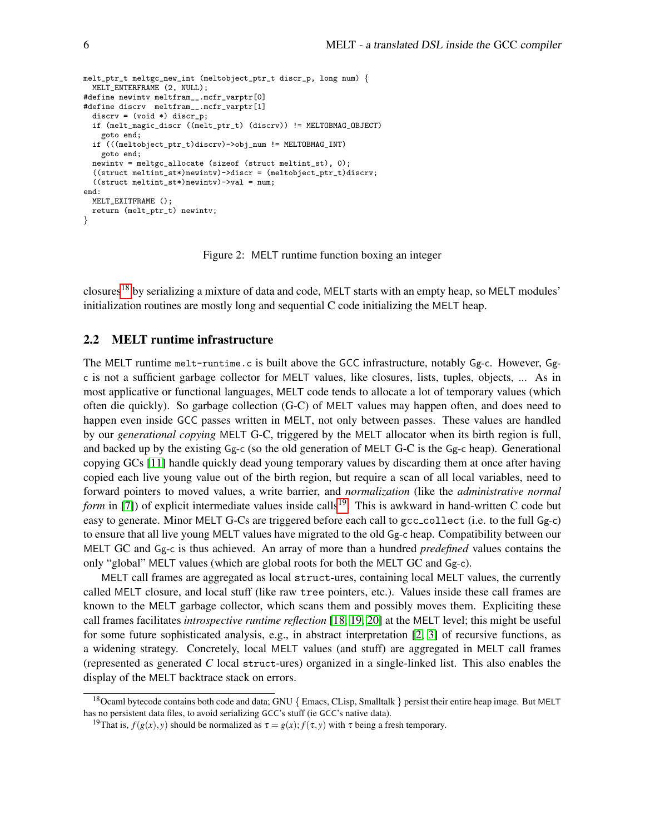```
melt_ptr_t meltgc_new_int (meltobject_ptr_t discr_p, long num) {
 MELT_ENTERFRAME (2, NULL);
#define newintv meltfram__.mcfr_varptr[0]
#define discrv meltfram__.mcfr_varptr[1]
  discrv = (void *) discr_p;if (melt_magic_discr ((melt_ptr_t) (discrv)) != MELTOBMAG_OBJECT)
    goto end;
  if (((meltobject_ptr_t)discrv)->obj_num != MELTOBMAG_INT)
   goto end;
  newintv = meltgc_allocate (sizeof (struct meltint_st), 0);
  ((struct meltint_st*)newintv)->discr = (meltobject_ptr_t)discrv;
  ((struct meltint_st*)newintv)->val = num;
end:
 MELT_EXITFRAME ():
  return (melt_ptr_t) newintv;
}
```
<span id="page-5-2"></span>Figure 2: MELT runtime function boxing an integer

closures<sup>[18](#page-5-0)</sup> by serializing a mixture of data and code, MELT starts with an empty heap, so MELT modules' initialization routines are mostly long and sequential C code initializing the MELT heap.

#### 2.2 MELT runtime infrastructure

The MELT runtime melt-runtime.c is built above the GCC infrastructure, notably Gg-c. However, Ggc is not a sufficient garbage collector for MELT values, like closures, lists, tuples, objects, ... As in most applicative or functional languages, MELT code tends to allocate a lot of temporary values (which often die quickly). So garbage collection (G-C) of MELT values may happen often, and does need to happen even inside GCC passes written in MELT, not only between passes. These values are handled by our *generational copying* MELT G-C, triggered by the MELT allocator when its birth region is full, and backed up by the existing Gg-c (so the old generation of MELT G-C is the Gg-c heap). Generational copying GCs [\[11\]](#page-23-6) handle quickly dead young temporary values by discarding them at once after having copied each live young value out of the birth region, but require a scan of all local variables, need to forward pointers to moved values, a write barrier, and *normalization* (like the *administrative normal form* in [\[7\]](#page-23-8)) of explicit intermediate values inside calls<sup>[19](#page-5-1)</sup>. This is awkward in hand-written C code but easy to generate. Minor MELT G-Cs are triggered before each call to gcc\_collect (i.e. to the full Gg-c) to ensure that all live young MELT values have migrated to the old Gg-c heap. Compatibility between our MELT GC and Gg-c is thus achieved. An array of more than a hundred *predefined* values contains the only "global" MELT values (which are global roots for both the MELT GC and Gg-c).

MELT call frames are aggregated as local struct-ures, containing local MELT values, the currently called MELT closure, and local stuff (like raw tree pointers, etc.). Values inside these call frames are known to the MELT garbage collector, which scans them and possibly moves them. Expliciting these call frames facilitates *introspective runtime reflection* [\[18,](#page-24-9) [19,](#page-24-10) [20\]](#page-24-11) at the MELT level; this might be useful for some future sophisticated analysis, e.g., in abstract interpretation [\[2,](#page-23-2) [3\]](#page-23-9) of recursive functions, as a widening strategy. Concretely, local MELT values (and stuff) are aggregated in MELT call frames (represented as generated *C* local struct-ures) organized in a single-linked list. This also enables the display of the MELT backtrace stack on errors.

<span id="page-5-0"></span><sup>&</sup>lt;sup>18</sup>Ocaml bytecode contains both code and data; GNU { Emacs, CLisp, Smalltalk } persist their entire heap image. But MELT has no persistent data files, to avoid serializing GCC's stuff (ie GCC's native data).

<span id="page-5-1"></span><sup>&</sup>lt;sup>19</sup>That is,  $f(g(x), y)$  should be normalized as  $\tau = g(x)$ ;  $f(\tau, y)$  with  $\tau$  being a fresh temporary.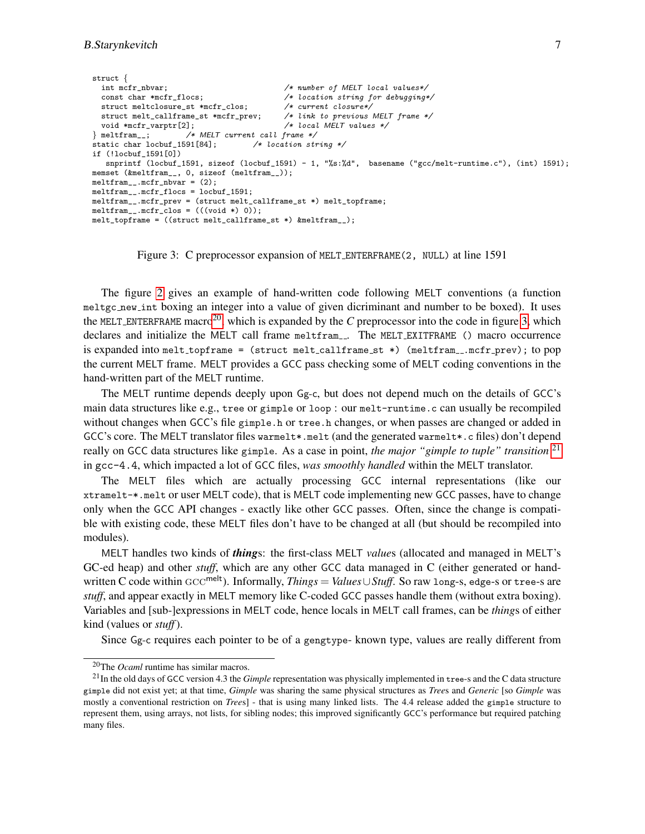```
struct {
  int mcfr_nbvar;<br>
const char *mcfr_flocs;<br>
/* location string for debugging*
                                                     /* location string for debugging*/<br>/* current closure*/
  struct meltclosure_st *mcfr_clos; /* current closure*/<br>struct melt_callframe_st *mcfr_prev; /* link to previous MELT frame */
  struct melt_callframe_st *mcfr_prev; /* link to previous MELT void *mcfr_varptr[2]; /* local MELT values */
void *mcfr_varptr[2];<br>} meltfram__; /*
                         )<br>/* MELT current call frame */<br>591[84];       /* location string */
static char locbuf_1591[84];
if (!locbuf_1591[0])
   snprintf (locbuf_1591, sizeof (locbuf_1591) - 1, "%s:%d", basename ("gcc/melt-runtime.c"), (int) 1591);
memset (&meltfram__, 0, sizeof (meltfram__));
meltfram_.mcfr_nbvar = (2);
meltfram__.mcfr_flocs = locbuf_1591;
meltfram__.mcfr_prev = (struct melt_callframe_st *) melt_topframe;
meltfram__.mcfr_clos = (((void *) 0));melt_topframe = ((struct melt_callframe_st *) &meltfram__);
```
<span id="page-6-1"></span>Figure 3: C preprocessor expansion of MELT ENTERFRAME(2, NULL) at line 1591

The figure [2](#page-5-2) gives an example of hand-written code following MELT conventions (a function meltgc new int boxing an integer into a value of given dicriminant and number to be boxed). It uses the MELT ENTERFRAME macro<sup>[20](#page-6-0)</sup>, which is expanded by the *C* preprocessor into the code in figure [3,](#page-6-1) which declares and initialize the MELT call frame meltfram... The MELT EXITFRAME () macro occurrence is expanded into melt\_topframe = (struct melt\_callframe\_st  $*)$  (meltfram\_.mcfr\_prev); to pop the current MELT frame. MELT provides a GCC pass checking some of MELT coding conventions in the hand-written part of the MELT runtime.

The MELT runtime depends deeply upon Gg-c, but does not depend much on the details of GCC's main data structures like e.g., tree or gimple or loop : our melt-runtime.c can usually be recompiled without changes when GCC's file gimple.h or tree.h changes, or when passes are changed or added in GCC's core. The MELT translator files warmelt\*.melt (and the generated warmelt\*.c files) don't depend really on GCC data structures like gimple. As a case in point, *the major "gimple to tuple" transition* [21](#page-6-2) in gcc-4.4, which impacted a lot of GCC files, *was smoothly handled* within the MELT translator.

The MELT files which are actually processing GCC internal representations (like our xtramelt-\*.melt or user MELT code), that is MELT code implementing new GCC passes, have to change only when the GCC API changes - exactly like other GCC passes. Often, since the change is compatible with existing code, these MELT files don't have to be changed at all (but should be recompiled into modules).

MELT handles two kinds of *thing*s: the first-class MELT *value*s (allocated and managed in MELT's GC-ed heap) and other *stuff*, which are any other GCC data managed in C (either generated or handwritten C code within GCC<sup>melt</sup>). Informally, *Things* = *Values*∪*Stuff*. So raw long-s, edge-s or tree-s are *stuff*, and appear exactly in MELT memory like C-coded GCC passes handle them (without extra boxing). Variables and [sub-]expressions in MELT code, hence locals in MELT call frames, can be *thing*s of either kind (values or *stuff*).

Since Gg-c requires each pointer to be of a gengtype- known type, values are really different from

<span id="page-6-2"></span><span id="page-6-0"></span><sup>20</sup>The *Ocaml* runtime has similar macros.

<sup>21</sup>In the old days of GCC version 4.3 the *Gimple* representation was physically implemented in tree-s and the C data structure gimple did not exist yet; at that time, *Gimple* was sharing the same physical structures as *Tree*s and *Generic* [so *Gimple* was mostly a conventional restriction on *Tree*s] - that is using many linked lists. The 4.4 release added the gimple structure to represent them, using arrays, not lists, for sibling nodes; this improved significantly GCC's performance but required patching many files.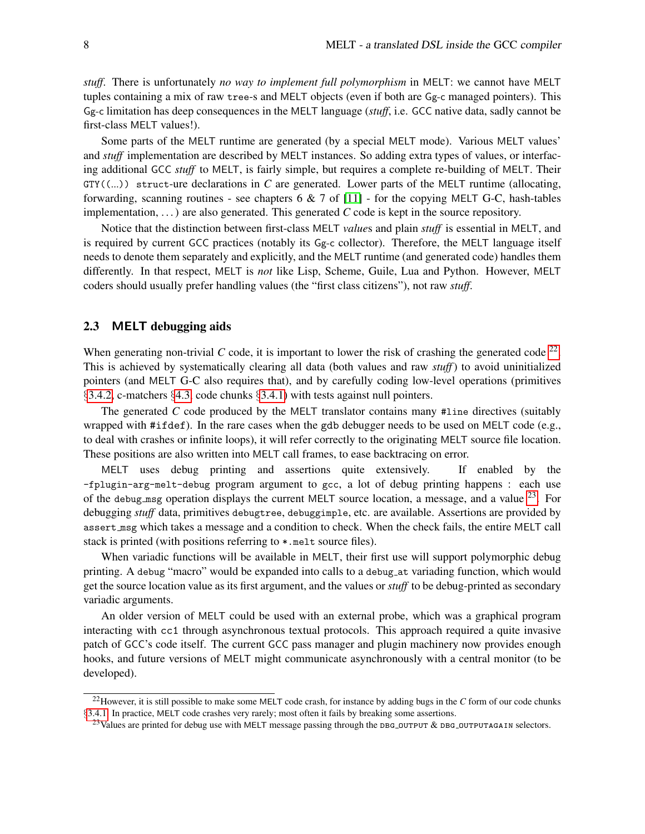*stuff*. There is unfortunately *no way to implement full polymorphism* in MELT: we cannot have MELT tuples containing a mix of raw tree-s and MELT objects (even if both are Gg-c managed pointers). This Gg-c limitation has deep consequences in the MELT language (*stuff*, i.e. GCC native data, sadly cannot be first-class MELT values!).

Some parts of the MELT runtime are generated (by a special MELT mode). Various MELT values' and *stuff* implementation are described by MELT instances. So adding extra types of values, or interfacing additional GCC *stuff* to MELT, is fairly simple, but requires a complete re-building of MELT. Their GTY((...)) struct-ure declarations in *C* are generated. Lower parts of the MELT runtime (allocating, forwarding, scanning routines - see chapters  $6 \& 7$  of [\[11\]](#page-23-6) - for the copying MELT G-C, hash-tables implementation, ...) are also generated. This generated *C* code is kept in the source repository.

Notice that the distinction between first-class MELT *value*s and plain *stuff* is essential in MELT, and is required by current GCC practices (notably its Gg-c collector). Therefore, the MELT language itself needs to denote them separately and explicitly, and the MELT runtime (and generated code) handles them differently. In that respect, MELT is *not* like Lisp, Scheme, Guile, Lua and Python. However, MELT coders should usually prefer handling values (the "first class citizens"), not raw *stuff*.

## 2.3 MELT debugging aids

When generating non-trivial  $C$  code, it is important to lower the risk of crashing the generated code  $^{22}$  $^{22}$  $^{22}$ . This is achieved by systematically clearing all data (both values and raw *stuff*) to avoid uninitialized pointers (and MELT G-C also requires that), and by carefully coding low-level operations (primitives §[3.4.2,](#page-15-0) c-matchers §[4.3,](#page-19-0) code chunks §[3.4.1\)](#page-14-0) with tests against null pointers.

The generated *C* code produced by the MELT translator contains many #line directives (suitably wrapped with #ifdef). In the rare cases when the gdb debugger needs to be used on MELT code (e.g., to deal with crashes or infinite loops), it will refer correctly to the originating MELT source file location. These positions are also written into MELT call frames, to ease backtracing on error.

MELT uses debug printing and assertions quite extensively. If enabled by the -fplugin-arg-melt-debug program argument to gcc, a lot of debug printing happens : each use of the debug msg operation displays the current MELT source location, a message, and a value  $^{23}$  $^{23}$  $^{23}$ . For debugging *stuff* data, primitives debugtree, debuggimple, etc. are available. Assertions are provided by assert msg which takes a message and a condition to check. When the check fails, the entire MELT call stack is printed (with positions referring to  $*$  melt source files).

When variadic functions will be available in MELT, their first use will support polymorphic debug printing. A debug "macro" would be expanded into calls to a debug at variading function, which would get the source location value as its first argument, and the values or *stuff* to be debug-printed as secondary variadic arguments.

An older version of MELT could be used with an external probe, which was a graphical program interacting with cc1 through asynchronous textual protocols. This approach required a quite invasive patch of GCC's code itself. The current GCC pass manager and plugin machinery now provides enough hooks, and future versions of MELT might communicate asynchronously with a central monitor (to be developed).

<span id="page-7-0"></span><sup>22</sup>However, it is still possible to make some MELT code crash, for instance by adding bugs in the *C* form of our code chunks §[3.4.1.](#page-14-0) In practice, MELT code crashes very rarely; most often it fails by breaking some assertions.

<span id="page-7-1"></span><sup>&</sup>lt;sup>23</sup>Values are printed for debug use with MELT message passing through the DBG output & DBG output AGAIN selectors.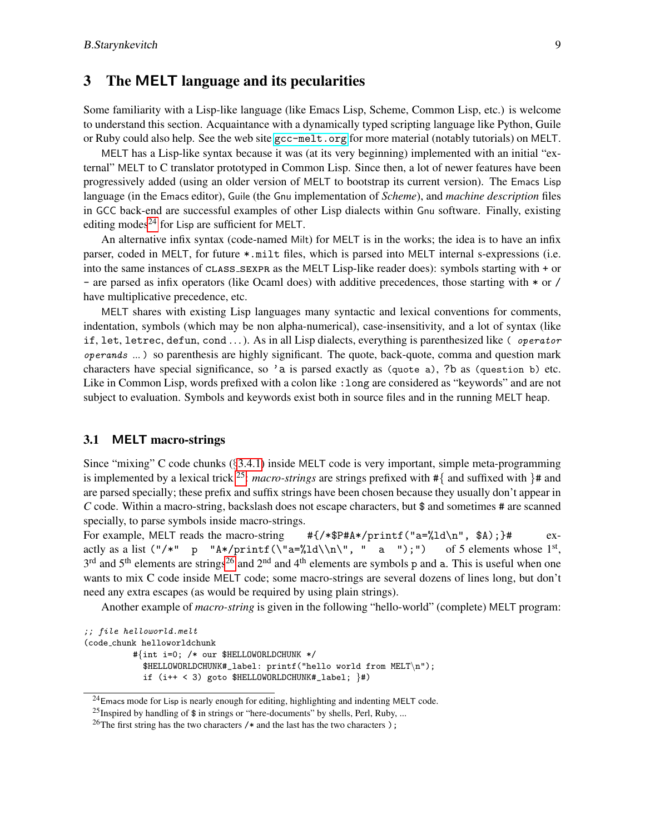## 3 The MELT language and its pecularities

Some familiarity with a Lisp-like language (like Emacs Lisp, Scheme, Common Lisp, etc.) is welcome to understand this section. Acquaintance with a dynamically typed scripting language like Python, Guile or Ruby could also help. See the web site [gcc-melt.org](http://gcc-melt.org/) for more material (notably tutorials) on MELT.

MELT has a Lisp-like syntax because it was (at its very beginning) implemented with an initial "external" MELT to C translator prototyped in Common Lisp. Since then, a lot of newer features have been progressively added (using an older version of MELT to bootstrap its current version). The Emacs Lisp language (in the Emacs editor), Guile (the Gnu implementation of *Scheme*), and *machine description* files in GCC back-end are successful examples of other Lisp dialects within Gnu software. Finally, existing editing modes<sup>[24](#page-8-0)</sup> for Lisp are sufficient for MELT.

An alternative infix syntax (code-named Milt) for MELT is in the works; the idea is to have an infix parser, coded in MELT, for future \*.milt files, which is parsed into MELT internal s-expressions (i.e. into the same instances of class sexpr as the MELT Lisp-like reader does): symbols starting with + or - are parsed as infix operators (like Ocaml does) with additive precedences, those starting with \* or / have multiplicative precedence, etc.

MELT shares with existing Lisp languages many syntactic and lexical conventions for comments, indentation, symbols (which may be non alpha-numerical), case-insensitivity, and a lot of syntax (like if, let, letrec, defun, cond  $\dots$ ). As in all Lisp dialects, everything is parenthesized like ( *operator* operands *...* ) so parenthesis are highly significant. The quote, back-quote, comma and question mark characters have special significance, so 'a is parsed exactly as (quote a), ?b as (question b) etc. Like in Common Lisp, words prefixed with a colon like : long are considered as "keywords" and are not subject to evaluation. Symbols and keywords exist both in source files and in the running MELT heap.

## <span id="page-8-3"></span>3.1 MELT macro-strings

Since "mixing" C code chunks (§[3.4.1\)](#page-14-0) inside MELT code is very important, simple meta-programming is implemented by a lexical trick <sup>[25](#page-8-1)</sup>: *macro-strings* are strings prefixed with  $\#\{$  and suffixed with  $\}$ # and are parsed specially; these prefix and suffix strings have been chosen because they usually don't appear in *C* code. Within a macro-string, backslash does not escape characters, but \$ and sometimes # are scanned specially, to parse symbols inside macro-strings.

For example, MELT reads the macro-string #{/\*\$P#A\*/printf("a=%ld\n", \$A);}# exactly as a list  $("/*" p "A*/printf(\lra={%1d}{n}, " a ");")$ of 5 elements whose  $1<sup>st</sup>$ ,  $3<sup>rd</sup>$  and  $5<sup>th</sup>$  elements are strings<sup>[26](#page-8-2)</sup> and  $2<sup>nd</sup>$  and  $4<sup>th</sup>$  elements are symbols p and a. This is useful when one wants to mix C code inside MELT code; some macro-strings are several dozens of lines long, but don't need any extra escapes (as would be required by using plain strings).

Another example of *macro-string* is given in the following "hello-world" (complete) MELT program:

```
;; file helloworld.melt
(code chunk helloworldchunk
          #{int i=0; /* our $HELLOWORLDCHUNK */
            $HELLOWORLDCHUNK#_label: printf("hello world from MELT\n");
            if (i++ < 3) goto $HELLOWORLDCHUNK#_label; \}#)
```
<span id="page-8-0"></span> $^{24}$ Emacs mode for Lisp is nearly enough for editing, highlighting and indenting MELT code.

<span id="page-8-1"></span><sup>&</sup>lt;sup>25</sup>Inspired by handling of \$ in strings or "here-documents" by shells, Perl, Ruby, ...

<span id="page-8-2"></span><sup>&</sup>lt;sup>26</sup>The first string has the two characters  $/*$  and the last has the two characters  $);$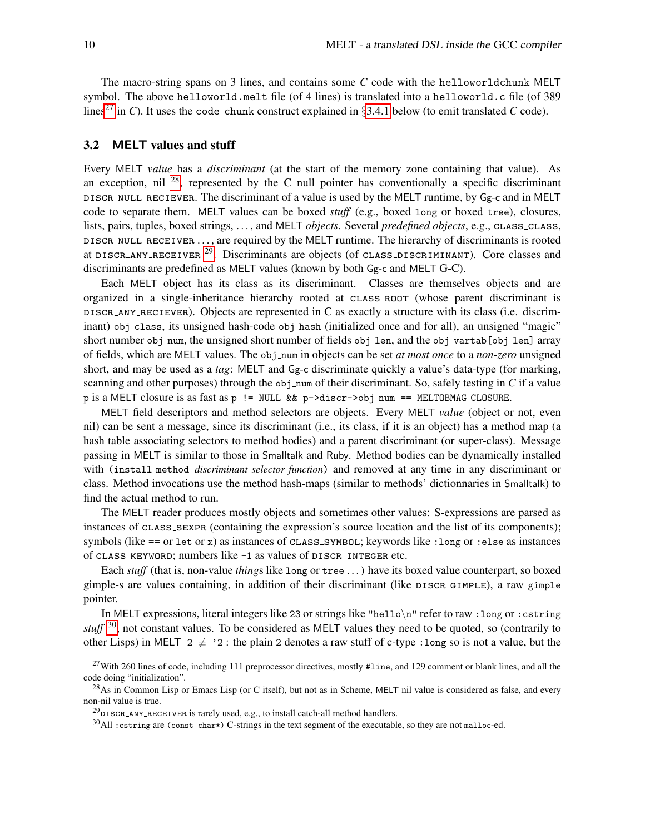The macro-string spans on 3 lines, and contains some *C* code with the helloworldchunk MELT symbol. The above helloworld.melt file (of 4 lines) is translated into a helloworld.c file (of 389 lines<sup>[27](#page-9-0)</sup> in *C*). It uses the code chunk construct explained in §[3.4.1](#page-14-0) below (to emit translated *C* code).

#### <span id="page-9-4"></span>3.2 MELT values and stuff

Every MELT *value* has a *discriminant* (at the start of the memory zone containing that value). As an exception, nil  $^{28}$  $^{28}$  $^{28}$ , represented by the C null pointer has conventionally a specific discriminant discr null reciever. The discriminant of a value is used by the MELT runtime, by Gg-c and in MELT code to separate them. MELT values can be boxed *stuff* (e.g., boxed long or boxed tree), closures, lists, pairs, tuples, boxed strings, . . . , and MELT *objects*. Several *predefined objects*, e.g., class class, discr null receiver . . . , are required by the MELT runtime. The hierarchy of discriminants is rooted at DISCR\_ANY\_RECEIVER  $^{29}$  $^{29}$  $^{29}$ . Discriminants are objects (of CLASS\_DISCRIMINANT). Core classes and discriminants are predefined as MELT values (known by both Gg-c and MELT G-C).

Each MELT object has its class as its discriminant. Classes are themselves objects and are organized in a single-inheritance hierarchy rooted at CLASS\_ROOT (whose parent discriminant is discr any reciever). Objects are represented in C as exactly a structure with its class (i.e. discriminant) obj\_class, its unsigned hash-code obj\_hash (initialized once and for all), an unsigned "magic" short number obj\_num, the unsigned short number of fields obj\_len, and the obj\_vartab[obj\_len] array of fields, which are MELT values. The obj num in objects can be set *at most once* to a *non-zero* unsigned short, and may be used as a *tag*: MELT and Gg-c discriminate quickly a value's data-type (for marking, scanning and other purposes) through the obj num of their discriminant. So, safely testing in *C* if a value p is a MELT closure is as fast as  $p := NULL$  &  $p \rightarrow$ discr->obj\_num == MELTOBMAG\_CLOSURE.

MELT field descriptors and method selectors are objects. Every MELT *value* (object or not, even nil) can be sent a message, since its discriminant (i.e., its class, if it is an object) has a method map (a hash table associating selectors to method bodies) and a parent discriminant (or super-class). Message passing in MELT is similar to those in Smalltalk and Ruby. Method bodies can be dynamically installed with (install method *discriminant selector function*) and removed at any time in any discriminant or class. Method invocations use the method hash-maps (similar to methods' dictionnaries in Smalltalk) to find the actual method to run.

The MELT reader produces mostly objects and sometimes other values: S-expressions are parsed as instances of class sexpr (containing the expression's source location and the list of its components); symbols (like  $==$  or let or x) as instances of  $CLASS\_SYMBOL$ ; keywords like : long or : else as instances of CLASS\_KEYWORD; numbers like -1 as values of DISCR\_INTEGER etc.

Each *stuff* (that is, non-value *thing*s like long or tree . . . ) have its boxed value counterpart, so boxed gimple-s are values containing, in addition of their discriminant (like DISCR\_GIMPLE), a raw gimple pointer.

In MELT expressions, literal integers like 23 or strings like "hello\n" refer to raw :long or :cstring *stuff* <sup>[30](#page-9-3)</sup>, not constant values. To be considered as MELT values they need to be quoted, so (contrarily to other Lisps) in MELT 2  $\neq$  '2 : the plain 2 denotes a raw stuff of c-type : long so is not a value, but the

<span id="page-9-0"></span><sup>&</sup>lt;sup>27</sup>With 260 lines of code, including 111 preprocessor directives, mostly #1ine, and 129 comment or blank lines, and all the code doing "initialization".

<span id="page-9-1"></span> $^{28}$ As in Common Lisp or Emacs Lisp (or C itself), but not as in Scheme, MELT nil value is considered as false, and every non-nil value is true.

<span id="page-9-2"></span> $^{29}$ DISCR\_ANY\_RECEIVER is rarely used, e.g., to install catch-all method handlers.

<span id="page-9-3"></span> $30$ All : cstring are (const char\*) C-strings in the text segment of the executable, so they are not malloc-ed.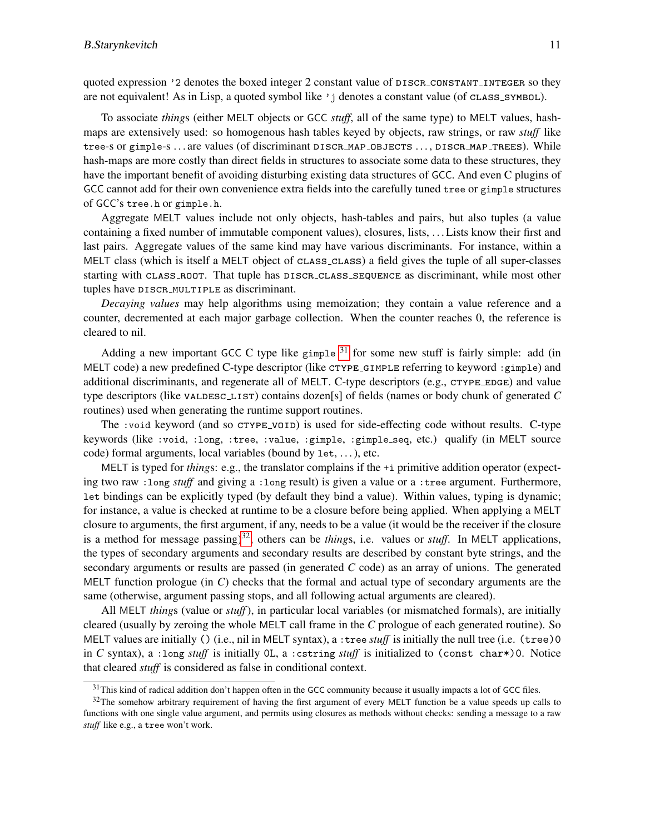quoted expression '2 denotes the boxed integer 2 constant value of DISCR\_CONSTANT\_INTEGER so they are not equivalent! As in Lisp, a quoted symbol like  $\gamma$  i denotes a constant value (of class symbol).

To associate *thing*s (either MELT objects or GCC *stuff*, all of the same type) to MELT values, hashmaps are extensively used: so homogenous hash tables keyed by objects, raw strings, or raw *stuff* like tree-s or gimple-s ... are values (of discriminant DISCR\_MAP\_OBJECTS ..., DISCR\_MAP\_TREES). While hash-maps are more costly than direct fields in structures to associate some data to these structures, they have the important benefit of avoiding disturbing existing data structures of GCC. And even C plugins of GCC cannot add for their own convenience extra fields into the carefully tuned tree or gimple structures of GCC's tree.h or gimple.h.

Aggregate MELT values include not only objects, hash-tables and pairs, but also tuples (a value containing a fixed number of immutable component values), closures, lists, . . . Lists know their first and last pairs. Aggregate values of the same kind may have various discriminants. For instance, within a MELT class (which is itself a MELT object of cLASS\_CLASS) a field gives the tuple of all super-classes starting with CLASS\_ROOT. That tuple has DISCR\_CLASS\_SEQUENCE as discriminant, while most other tuples have DISCR\_MULTIPLE as discriminant.

*Decaying values* may help algorithms using memoization; they contain a value reference and a counter, decremented at each major garbage collection. When the counter reaches 0, the reference is cleared to nil.

Adding a new important GCC C type like gimple  $31$  for some new stuff is fairly simple: add (in MELT code) a new predefined C-type descriptor (like cTYPE\_GIMPLE referring to keyword : gimple) and additional discriminants, and regenerate all of MELT. C-type descriptors (e.g., CTYPE\_EDGE) and value type descriptors (like valdesc list) contains dozen[s] of fields (names or body chunk of generated *C* routines) used when generating the runtime support routines.

The :void keyword (and so CTYPE\_VOID) is used for side-effecting code without results. C-type keywords (like :void, :long, :tree, :value, :gimple, :gimple seq, etc.) qualify (in MELT source code) formal arguments, local variables (bound by let, . . . ), etc.

MELT is typed for *thing*s: e.g., the translator complains if the +i primitive addition operator (expecting two raw :long *stuff* and giving a :long result) is given a value or a :tree argument. Furthermore, let bindings can be explicitly typed (by default they bind a value). Within values, typing is dynamic; for instance, a value is checked at runtime to be a closure before being applied. When applying a MELT closure to arguments, the first argument, if any, needs to be a value (it would be the receiver if the closure is a method for message passing)<sup>[32](#page-10-1)</sup>, others can be *things*, i.e. values or *stuff*. In MELT applications, the types of secondary arguments and secondary results are described by constant byte strings, and the secondary arguments or results are passed (in generated *C* code) as an array of unions. The generated MELT function prologue (in *C*) checks that the formal and actual type of secondary arguments are the same (otherwise, argument passing stops, and all following actual arguments are cleared).

All MELT *thing*s (value or *stuff*), in particular local variables (or mismatched formals), are initially cleared (usually by zeroing the whole MELT call frame in the *C* prologue of each generated routine). So MELT values are initially () (i.e., nil in MELT syntax), a :tree *stuff* is initially the null tree (i.e. (tree)0 in *C* syntax), a :long *stuff* is initially 0L, a :cstring *stuff* is initialized to (const char\*)0. Notice that cleared *stuff* is considered as false in conditional context.

<span id="page-10-1"></span><span id="page-10-0"></span> $31$ This kind of radical addition don't happen often in the GCC community because it usually impacts a lot of GCC files.

 $32$ The somehow arbitrary requirement of having the first argument of every MELT function be a value speeds up calls to functions with one single value argument, and permits using closures as methods without checks: sending a message to a raw *stuff* like e.g., a tree won't work.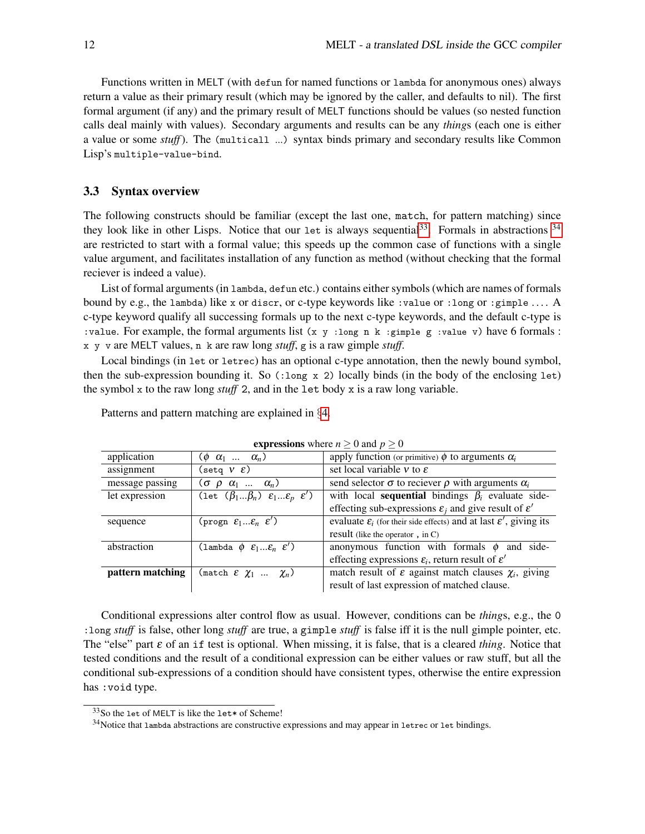Functions written in MELT (with defun for named functions or lambda for anonymous ones) always return a value as their primary result (which may be ignored by the caller, and defaults to nil). The first formal argument (if any) and the primary result of MELT functions should be values (so nested function calls deal mainly with values). Secondary arguments and results can be any *thing*s (each one is either a value or some *stuff*). The (multicall ...) syntax binds primary and secondary results like Common Lisp's multiple-value-bind.

#### 3.3 Syntax overview

The following constructs should be familiar (except the last one, match, for pattern matching) since they look like in other Lisps. Notice that our let is always sequential<sup>[33](#page-11-0)</sup>. Formals in abstractions  $34$ are restricted to start with a formal value; this speeds up the common case of functions with a single value argument, and facilitates installation of any function as method (without checking that the formal reciever is indeed a value).

List of formal arguments (in lambda, defun etc.) contains either symbols (which are names of formals bound by e.g., the lambda) like x or discr, or c-type keywords like :value or :long or :gimple . . . . A c-type keyword qualify all successing formals up to the next c-type keywords, and the default c-type is :value. For example, the formal arguments list (x y :long n k :gimple g :value v) have 6 formals : x y v are MELT values, n k are raw long *stuff*, g is a raw gimple *stuff*.

Local bindings (in let or letrec) has an optional c-type annotation, then the newly bound symbol, then the sub-expression bounding it. So  $(\text{long } x 2)$  locally binds (in the body of the enclosing let) the symbol x to the raw long *stuff* 2, and in the let body x is a raw long variable.

| <b>expressions</b> where $n \ge 0$ and $p \ge 0$ |                                                                       |                                                                                                      |
|--------------------------------------------------|-----------------------------------------------------------------------|------------------------------------------------------------------------------------------------------|
| application                                      | $(\phi \ \alpha_1 \ \ldots \ \alpha_n)$                               | apply function (or primitive) $\phi$ to arguments $\alpha_i$                                         |
| assignment                                       | (setq $V E$ )                                                         | set local variable $\nu$ to $\varepsilon$                                                            |
| message passing                                  | $(\sigma \rho \alpha_1  \alpha_n)$                                    | send selector $\sigma$ to reciever $\rho$ with arguments $\alpha_i$                                  |
| let expression                                   | (let $(\beta_1\beta_n)$ $\varepsilon_1\varepsilon_p$ $\varepsilon'$ ) | with local <b>sequential</b> bindings $\beta_i$ evaluate side-                                       |
|                                                  |                                                                       | effecting sub-expressions $\varepsilon_i$ and give result of $\varepsilon'$                          |
| sequence                                         | (progn $\varepsilon_1\varepsilon_n$ $\varepsilon'$ )                  | evaluate $\varepsilon_i$ (for their side effects) and at last $\overline{\varepsilon}'$ , giving its |
|                                                  |                                                                       | result (like the operator, in C)                                                                     |
| abstraction                                      | (lambda $\phi$ $\varepsilon_1\varepsilon_n$ $\varepsilon'$ )          | anonymous function with formals $\phi$ and side-                                                     |
|                                                  |                                                                       | effecting expressions $\varepsilon_i$ , return result of $\varepsilon'$                              |
| pattern matching                                 | $(\text{match} \; \mathcal{E} \; \chi_1 \; \ldots \; \chi_n)$         | match result of $\varepsilon$ against match clauses $\chi_i$ , giving                                |
|                                                  |                                                                       | result of last expression of matched clause.                                                         |

Patterns and pattern matching are explained in §[4.](#page-16-0)

Conditional expressions alter control flow as usual. However, conditions can be *thing*s, e.g., the 0 :long *stuff* is false, other long *stuff* are true, a gimple *stuff* is false iff it is the null gimple pointer, etc. The "else" part ε of an if test is optional. When missing, it is false, that is a cleared *thing*. Notice that tested conditions and the result of a conditional expression can be either values or raw stuff, but all the conditional sub-expressions of a condition should have consistent types, otherwise the entire expression has :void type.

<span id="page-11-0"></span><sup>33</sup>So the let of MELT is like the let\* of Scheme!

<span id="page-11-1"></span><sup>&</sup>lt;sup>34</sup>Notice that lambda abstractions are constructive expressions and may appear in letrec or let bindings.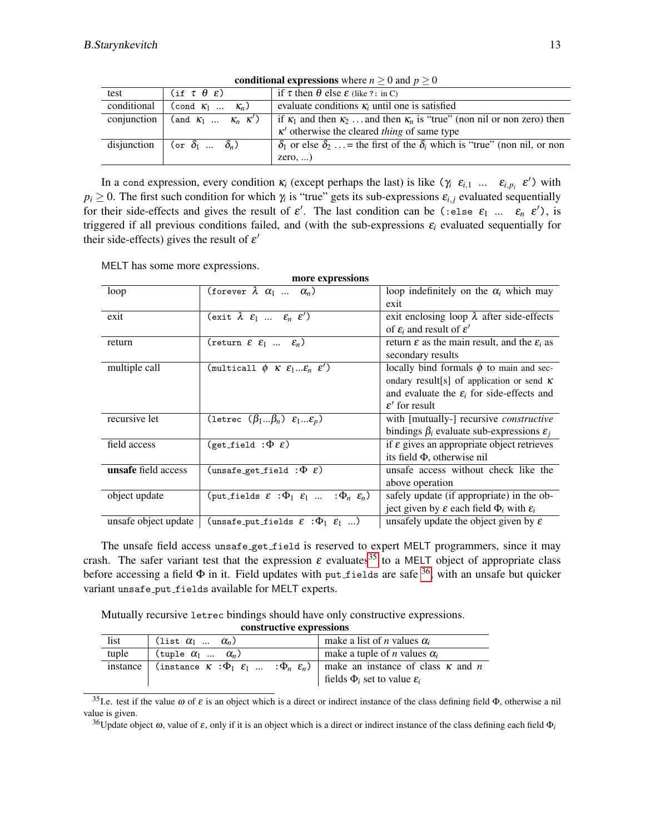| test        | $(i f \tau \theta \epsilon)$                                                                              | if $\tau$ then $\theta$ else $\varepsilon$ (like ?: in C)                                    |
|-------------|-----------------------------------------------------------------------------------------------------------|----------------------------------------------------------------------------------------------|
| conditional | (cond $K_1$ $K_n$ )                                                                                       | evaluate conditions $\kappa_i$ until one is satisfied                                        |
| conjunction | $\left(\begin{array}{ccccccccc}\n\text{and } &\kappa_1 & \ldots & \kappa_n & \kappa'\n\end{array}\right)$ | if $\kappa_1$ and then $\kappa_2$ and then $\kappa_n$ is "true" (non nil or non zero) then   |
|             |                                                                                                           | $\kappa'$ otherwise the cleared <i>thing</i> of same type                                    |
|             | disjunction $\vert$ (or $\delta_1$ $\delta_n$ )                                                           | $\delta_1$ or else $\delta_2$ = the first of the $\delta_i$ which is "true" (non nil, or non |
|             |                                                                                                           | $zero, \ldots$                                                                               |

conditional expressions where  $n \geq 0$  and  $p \geq 0$ 

In a cond expression, every condition  $\kappa_i$  (except perhaps the last) is like  $(\gamma_i \epsilon_{i,1} \dots \epsilon_{i,p_i} \epsilon')$  with  $p_i \geq 0$ . The first such condition for which  $\gamma_i$  is "true" gets its sub-expressions  $\varepsilon_{i,j}$  evaluated sequentially for their side-effects and gives the result of  $\varepsilon'$ . The last condition can be (:else  $\varepsilon_1$  ...  $\varepsilon_n$   $\varepsilon'$ ), is triggered if all previous conditions failed, and (with the sub-expressions ε*<sup>i</sup>* evaluated sequentially for their side-effects) gives the result of  $\varepsilon'$ 

MELT has some more expressions.

| more expressions     |                                                                                    |                                                                      |
|----------------------|------------------------------------------------------------------------------------|----------------------------------------------------------------------|
| loop                 | (forever $\lambda$ $\alpha_1$ $\alpha_n$ )                                         | loop indefinitely on the $\alpha_i$ which may                        |
|                      |                                                                                    | exit                                                                 |
| exit                 | $\overline{(\text{exit }\lambda \varepsilon_1 \dots \varepsilon_n \varepsilon') }$ | exit enclosing loop $\lambda$ after side-effects                     |
|                      |                                                                                    | of $\varepsilon_i$ and result of $\varepsilon'$                      |
| return               | $(\text{return } \varepsilon \varepsilon_1 \dots \varepsilon_n)$                   | return $\varepsilon$ as the main result, and the $\varepsilon_i$ as  |
|                      |                                                                                    | secondary results                                                    |
| multiple call        | (multicall $\phi$ K $\varepsilon_1\varepsilon_n$ $\varepsilon'$ )                  | locally bind formals $\phi$ to main and sec-                         |
|                      |                                                                                    | ondary result[s] of application or send $\kappa$                     |
|                      |                                                                                    | and evaluate the $\varepsilon_i$ for side-effects and                |
|                      |                                                                                    | $\varepsilon'$ for result                                            |
| recursive let        | (letrec $(\beta_1\beta_n)$ $\varepsilon_1\varepsilon_n$ )                          | with [mutually-] recursive <i>constructive</i>                       |
|                      |                                                                                    | bindings $\beta_i$ evaluate sub-expressions $\varepsilon_i$          |
| field access         | (get_field : $\Phi$ $\varepsilon$ )                                                | if $\varepsilon$ gives an appropriate object retrieves               |
|                      |                                                                                    | its field $\Phi$ , otherwise nil                                     |
| unsafe field access  | (unsafe_get_field : $\Phi$ $\varepsilon$ )                                         | unsafe access without check like the                                 |
|                      |                                                                                    | above operation                                                      |
| object update        | (put_fields $\varepsilon : \Phi_1 \varepsilon_1  : \Phi_n \varepsilon_n$ )         | safely update (if appropriate) in the ob-                            |
|                      |                                                                                    | ject given by $\varepsilon$ each field $\Phi_i$ with $\varepsilon_i$ |
| unsafe object update | (unsafe_put_fields $\pmb{\mathcal{E}}\;:\!\Phi_1\;\;\pmb{\mathcal{E}}_1\;\,)$      | unsafely update the object given by $\varepsilon$                    |

The unsafe field access unsafe get field is reserved to expert MELT programmers, since it may crash. The safer variant test that the expression  $\varepsilon$  evaluates<sup>[35](#page-12-0)</sup> to a MELT object of appropriate class before accessing a field  $\Phi$  in it. Field updates with put fields are safe  $36$ , with an unsafe but quicker variant unsafe put fields available for MELT experts.

Mutually recursive letrec bindings should have only constructive expressions.

| CONSULTURE CAPI ESSIONS |                                |                                                                                                                                                              |
|-------------------------|--------------------------------|--------------------------------------------------------------------------------------------------------------------------------------------------------------|
| list                    | (list $\alpha_1$ $\alpha_n$ )  | make a list of <i>n</i> values $\alpha_i$                                                                                                                    |
| tuple                   | (tuple $\alpha_1$ $\alpha_n$ ) | make a tuple of <i>n</i> values $\alpha_i$                                                                                                                   |
| instance                |                                | (instance $\kappa : \Phi_1 \epsilon_1  \epsilon_n \epsilon_n$ )   make an instance of class $\kappa$ and $n$<br>fields $\Phi_i$ set to value $\varepsilon_i$ |

constructive expressions

<span id="page-12-0"></span><sup>35</sup>I.e. test if the value  $\omega$  of  $\varepsilon$  is an object which is a direct or indirect instance of the class defining field  $\Phi$ , otherwise a nil value is given.

<span id="page-12-1"></span><sup>36</sup>Update object  $\omega$ , value of  $\varepsilon$ , only if it is an object which is a direct or indirect instance of the class defining each field  $\Phi_i$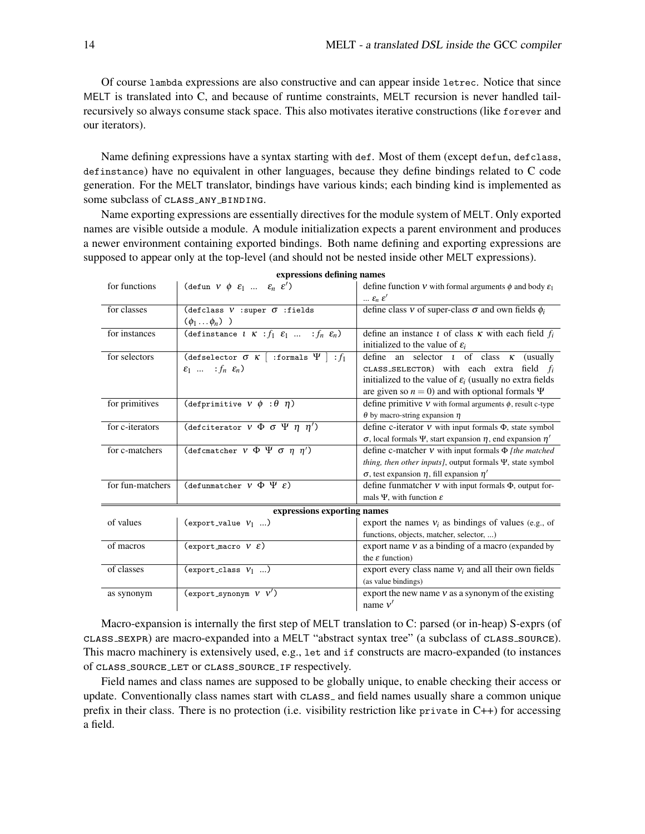Of course lambda expressions are also constructive and can appear inside letrec. Notice that since MELT is translated into C, and because of runtime constraints, MELT recursion is never handled tailrecursively so always consume stack space. This also motivates iterative constructions (like forever and our iterators).

Name defining expressions have a syntax starting with def. Most of them (except defun, defclass, definstance) have no equivalent in other languages, because they define bindings related to C code generation. For the MELT translator, bindings have various kinds; each binding kind is implemented as some subclass of CLASS\_ANY\_BINDING.

Name exporting expressions are essentially directives for the module system of MELT. Only exported names are visible outside a module. A module initialization expects a parent environment and produces a newer environment containing exported bindings. Both name defining and exporting expressions are supposed to appear only at the top-level (and should not be nested inside other MELT expressions).

| for functions               | (defun $V \phi \varepsilon_1  \varepsilon_n \varepsilon'$ )                                     | define function $v$ with formal arguments $\phi$ and body $\varepsilon_1$<br>$\ldots \varepsilon_n \varepsilon'$ |
|-----------------------------|-------------------------------------------------------------------------------------------------|------------------------------------------------------------------------------------------------------------------|
| for classes                 | (defclass $V$ :super $\sigma$ :fields                                                           | define class $v$ of super-class $\sigma$ and own fields $\phi_i$                                                 |
|                             | $(\phi_1 \ldots \phi_n)$ )                                                                      |                                                                                                                  |
| for instances               | (definstance $l \ K : f_1 \ \varepsilon_1 \ \dots \ \overline{\varepsilon_n \ \varepsilon_n}$ ) | define an instance t of class $\kappa$ with each field $f_i$                                                     |
|                             |                                                                                                 | initialized to the value of $\varepsilon_i$                                                                      |
| for selectors               | (defselector $\sigma$ K   :formals $\Psi$   : $f_1$                                             | define an selector $t$ of class $\kappa$ (usually                                                                |
|                             | $\varepsilon_1$ : $f_n \varepsilon_n$ )                                                         | CLASS_SELECTOR) with each extra field $f_i$                                                                      |
|                             |                                                                                                 | initialized to the value of $\varepsilon_i$ (usually no extra fields                                             |
|                             |                                                                                                 | are given so $n = 0$ ) and with optional formals $\Psi$                                                          |
| for primitives              | (defprimitive $v \phi : \theta \eta$ )                                                          | define primitive $V$ with formal arguments $\phi$ , result c-type                                                |
|                             |                                                                                                 | $\theta$ by macro-string expansion $\eta$                                                                        |
| for c-iterators             | (defciterator $V \Phi \sigma \Psi \eta \eta'$ )                                                 | define c-iterator $V$ with input formals $\Phi$ , state symbol                                                   |
|                             |                                                                                                 | $\sigma$ , local formals $\Psi$ , start expansion $\eta$ , end expansion $\eta'$                                 |
| for c-matchers              | (defcmatcher $v \Phi \Psi \sigma \eta \eta'$ )                                                  | define c-matcher $V$ with input formals $\Phi$ [the matched                                                      |
|                             |                                                                                                 | <i>thing, then other inputs]</i> , output formals $\Psi$ , state symbol                                          |
|                             |                                                                                                 | $\sigma$ , test expansion $\eta$ , fill expansion $\eta'$                                                        |
| for fun-matchers            | (defunmatcher $V \Phi \Psi \varepsilon$ )                                                       | define funmatcher $v$ with input formals $\Phi$ , output for-                                                    |
|                             |                                                                                                 | mals $\Psi$ , with function $\varepsilon$                                                                        |
| expressions exporting names |                                                                                                 |                                                                                                                  |
| of values                   | (export_value $V_1$ )                                                                           | export the names $v_i$ as bindings of values (e.g., of                                                           |
|                             |                                                                                                 | functions, objects, matcher, selector, )                                                                         |
| of macros                   | (export_macro $V \mathcal{E}$ )                                                                 | export name $v$ as a binding of a macro (expanded by                                                             |
|                             |                                                                                                 | the $\varepsilon$ function)                                                                                      |
| of classes                  | $(export.class V_1 )$                                                                           | export every class name $v_i$ and all their own fields                                                           |
|                             |                                                                                                 | (as value bindings)                                                                                              |
| as synonym                  | $\text{(export-synonym } V \ V')$                                                               | export the new name $v$ as a synonym of the existing                                                             |
|                             |                                                                                                 | name $v'$                                                                                                        |

expressions defining names

Macro-expansion is internally the first step of MELT translation to C: parsed (or in-heap) S-exprs (of class sexpr) are macro-expanded into a MELT "abstract syntax tree" (a subclass of class source). This macro machinery is extensively used, e.g., let and if constructs are macro-expanded (to instances of class source let or class source if respectively.

Field names and class names are supposed to be globally unique, to enable checking their access or update. Conventionally class names start with  $CLASS_$  and field names usually share a common unique prefix in their class. There is no protection (i.e. visibility restriction like private in C++) for accessing a field.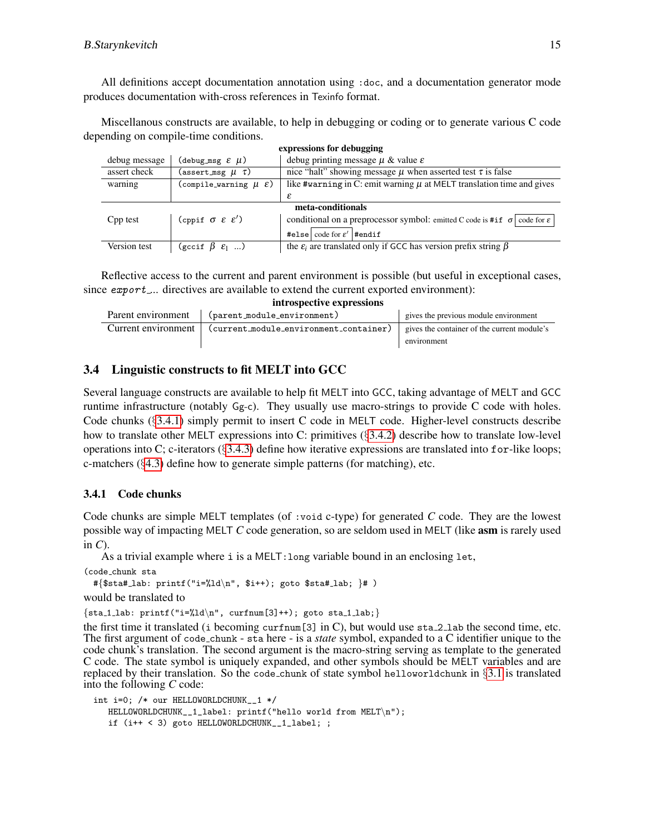All definitions accept documentation annotation using :doc, and a documentation generator mode produces documentation with-cross references in Texinfo format.

Miscellanous constructs are available, to help in debugging or coding or to generate various C code depending on compile-time conditions.

| expressions for debugging |                                            |                                                                                             |  |
|---------------------------|--------------------------------------------|---------------------------------------------------------------------------------------------|--|
| debug message             | (debug_msg $\epsilon$ $\mu$ )              | debug printing message $\mu$ & value $\varepsilon$                                          |  |
| assert check              | (assert_msg $\mu$ $\tau$ )                 | nice "halt" showing message $\mu$ when asserted test $\tau$ is false                        |  |
| warning                   | (compile_warning $\mu \varepsilon$ )       | like #warning in C: emit warning $\mu$ at MELT translation time and gives                   |  |
|                           |                                            | ε                                                                                           |  |
| meta-conditionals         |                                            |                                                                                             |  |
| Cpp test                  | (cppif $\sigma \varepsilon \varepsilon'$ ) | conditional on a preprocessor symbol: emitted C code is #if $\sigma$ code for $\varepsilon$ |  |
|                           |                                            | #else $\vert$ code for $\varepsilon'$  #endif                                               |  |
| Version test              | $(gccif \beta \varepsilon_1 )$             | the $\varepsilon_i$ are translated only if GCC has version prefix string $\beta$            |  |

Reflective access to the current and parent environment is possible (but useful in exceptional cases, since export... directives are available to extend the current exported environment): introspective expressions

| <b>HILL USPCCLIVE CAPI CSSIONS</b> |                                               |                                                            |
|------------------------------------|-----------------------------------------------|------------------------------------------------------------|
| Parent environment                 | (parent_module_environment)                   | gives the previous module environment                      |
| Current environment                | $\sim$ (current_module_environment_container) | gives the container of the current module's<br>environment |

## <span id="page-14-1"></span>3.4 Linguistic constructs to fit MELT into GCC

Several language constructs are available to help fit MELT into GCC, taking advantage of MELT and GCC runtime infrastructure (notably Gg-c). They usually use macro-strings to provide C code with holes. Code chunks (§[3.4.1\)](#page-14-0) simply permit to insert C code in MELT code. Higher-level constructs describe how to translate other MELT expressions into C: primitives (§[3.4.2\)](#page-15-0) describe how to translate low-level operations into C; c-iterators  $(\S3.4.3)$  $(\S3.4.3)$  define how iterative expressions are translated into for-like loops; c-matchers (§[4.3\)](#page-19-0) define how to generate simple patterns (for matching), etc.

## <span id="page-14-0"></span>3.4.1 Code chunks

Code chunks are simple MELT templates (of :void c-type) for generated *C* code. They are the lowest possible way of impacting MELT *C* code generation, so are seldom used in MELT (like asm is rarely used in *C*).

As a trivial example where i is a MELT:long variable bound in an enclosing let,

```
(code chunk sta
```

```
#\{\$sta\#_lab: printf("i=\%ld\n',\ $i++); goto \$ta#_lab; \# )
would be translated to
```

```
\{sta_1_lab: print('i=%ld\n", curlnum[3]++) ; goto sta_1_lab;\}
```
the first time it translated (i becoming curfnum [3] in C), but would use  $sta_2$  lab the second time, etc. The first argument of code chunk - sta here - is a *state* symbol, expanded to a C identifier unique to the code chunk's translation. The second argument is the macro-string serving as template to the generated C code. The state symbol is uniquely expanded, and other symbols should be MELT variables and are replaced by their translation. So the code chunk of state symbol helloworldchunk in  $\S3.1$  $\S3.1$  is translated into the following *C* code:

```
int i=0; /* our HELLOWORLDCHUNK__1 */
  HELLOWORLDCHUNK__1_label: printf("hello world from MELT\n");
   if (i++ < 3) goto HELLOWORLDCHUNK__1_label; ;
```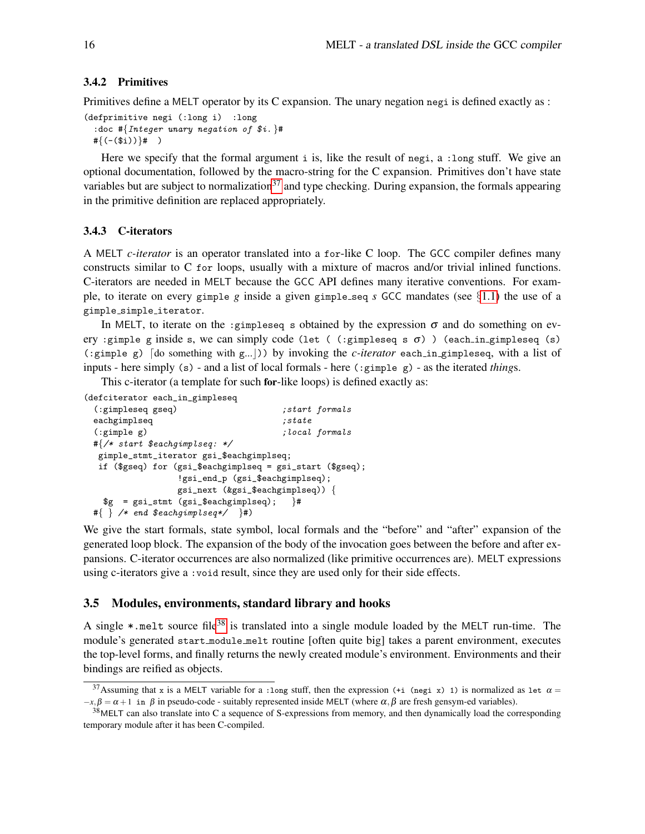#### <span id="page-15-0"></span>3.4.2 Primitives

Primitives define a MELT operator by its C expansion. The unary negation negi is defined exactly as :

```
(defprimitive negi (:long i) :long
  : doc #{Integer unary negation of $i. }#
 \#\{(-\$i))\}\# )
```
Here we specify that the formal argument i is, like the result of negi, a :long stuff. We give an optional documentation, followed by the macro-string for the C expansion. Primitives don't have state variables but are subject to normalization<sup>[37](#page-15-2)</sup> and type checking. During expansion, the formals appearing in the primitive definition are replaced appropriately.

#### <span id="page-15-1"></span>3.4.3 C-iterators

A MELT *c-iterator* is an operator translated into a for-like C loop. The GCC compiler defines many constructs similar to C for loops, usually with a mixture of macros and/or trivial inlined functions. C-iterators are needed in MELT because the GCC API defines many iterative conventions. For example, to iterate on every gimple *g* inside a given gimple seq *s* GCC mandates (see  $\S1.1$ ) the use of a gimple simple iterator.

In MELT, to iterate on the :gimpleseq s obtained by the expression  $\sigma$  and do something on every :gimple g inside s, we can simply code (let ( (:gimpleseq s  $\sigma$ ) ) (each in gimpleseq (s)  $(\text{gimple g})$  [do something with  $g...|$ ) by invoking the *c-iterator* each in gimpleseq, with a list of inputs - here simply (s) - and a list of local formals - here (:gimple g) - as the iterated *thing*s.

This c-iterator (a template for such for-like loops) is defined exactly as:

(defciterator each\_in\_gimpleseq

```
(:gimpleseq gseq) ; start formals
eachgimplseq ;state(:gimple g) ;local formals
#{/* start $eachgimplseq: */
gimple_stmt_iterator gsi_$eachgimplseq;
if ($gseq) for (gsi_$eachgimplseq = gsi_start ($gseq);
              !gsi_end_p (gsi_$eachgimplseq);
              gsi_next (&gsi_$eachgimplseq)) {
 g = gsi\_stmt (gsi\_seachgimplseq); \}#
#\{\ \} /* end $eachgimplseq*/ \}#)
```
We give the start formals, state symbol, local formals and the "before" and "after" expansion of the generated loop block. The expansion of the body of the invocation goes between the before and after expansions. C-iterator occurrences are also normalized (like primitive occurrences are). MELT expressions using c-iterators give a :void result, since they are used only for their side effects.

#### 3.5 Modules, environments, standard library and hooks

A single  $\ast$  melt source file<sup>[38](#page-15-3)</sup> is translated into a single module loaded by the MELT run-time. The module's generated start module melt routine [often quite big] takes a parent environment, executes the top-level forms, and finally returns the newly created module's environment. Environments and their bindings are reified as objects.

<span id="page-15-2"></span><sup>&</sup>lt;sup>37</sup>Assuming that x is a MELT variable for a :long stuff, then the expression (+i (negi x) 1) is normalized as let  $\alpha$  =  $-x, \beta = \alpha + 1$  in  $\beta$  in pseudo-code - suitably represented inside MELT (where  $\alpha, \beta$  are fresh gensym-ed variables).

<span id="page-15-3"></span> $38$ MELT can also translate into C a sequence of S-expressions from memory, and then dynamically load the corresponding temporary module after it has been C-compiled.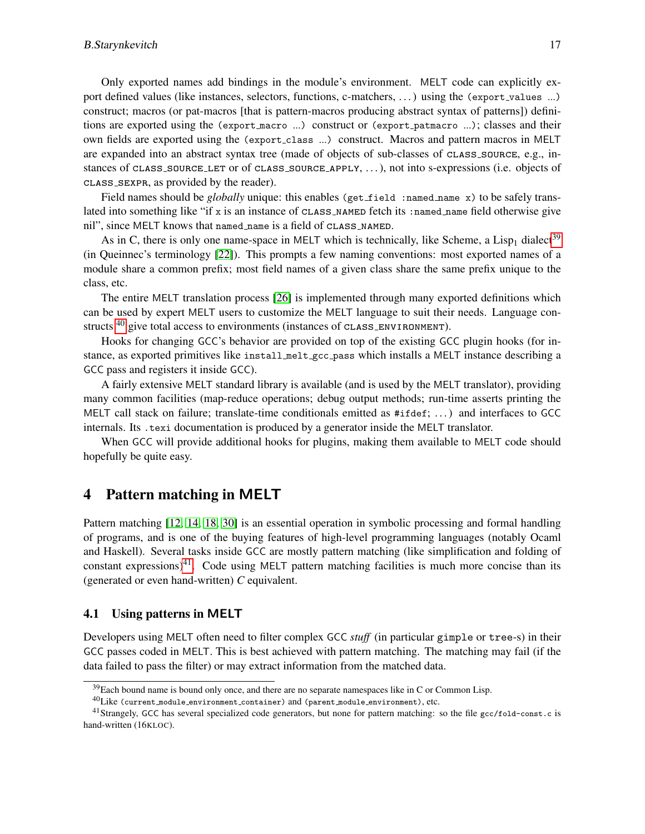Only exported names add bindings in the module's environment. MELT code can explicitly export defined values (like instances, selectors, functions, c-matchers, ...) using the (export\_values ...) construct; macros (or pat-macros [that is pattern-macros producing abstract syntax of patterns]) definitions are exported using the (export macro ...) construct or (export patmacro ...); classes and their own fields are exported using the (export class ...) construct. Macros and pattern macros in MELT are expanded into an abstract syntax tree (made of objects of sub-classes of class source, e.g., instances of CLASS\_SOURCE\_LET or of CLASS\_SOURCE\_APPLY, ..., ), not into s-expressions (i.e. objects of class sexpr, as provided by the reader).

Field names should be *globally* unique: this enables (get\_field :named\_name x) to be safely translated into something like "if x is an instance of  $CLASSINAMENT$  fetch its : named name field otherwise give nil", since MELT knows that named name is a field of class named.

As in C, there is only one name-space in MELT which is technically, like Scheme, a Lisp<sub>1</sub> dialect<sup>[39](#page-16-1)</sup> (in Queinnec's terminology [\[22\]](#page-24-12)). This prompts a few naming conventions: most exported names of a module share a common prefix; most field names of a given class share the same prefix unique to the class, etc.

The entire MELT translation process [\[26\]](#page-24-6) is implemented through many exported definitions which can be used by expert MELT users to customize the MELT language to suit their needs. Language constructs  $40$  give total access to environments (instances of  $\texttt{CLASS\_ENVIROMMENT}$ ).

Hooks for changing GCC's behavior are provided on top of the existing GCC plugin hooks (for instance, as exported primitives like install melt gcc pass which installs a MELT instance describing a GCC pass and registers it inside GCC).

A fairly extensive MELT standard library is available (and is used by the MELT translator), providing many common facilities (map-reduce operations; debug output methods; run-time asserts printing the MELT call stack on failure; translate-time conditionals emitted as #ifdef; . . . ) and interfaces to GCC internals. Its .texi documentation is produced by a generator inside the MELT translator.

When GCC will provide additional hooks for plugins, making them available to MELT code should hopefully be quite easy.

## <span id="page-16-0"></span>4 Pattern matching in MELT

Pattern matching [\[12,](#page-23-10) [14,](#page-23-11) [18,](#page-24-9) [30\]](#page-24-13) is an essential operation in symbolic processing and formal handling of programs, and is one of the buying features of high-level programming languages (notably Ocaml and Haskell). Several tasks inside GCC are mostly pattern matching (like simplification and folding of constant expressions)<sup>[41](#page-16-3)</sup>. Code using MELT pattern matching facilities is much more concise than its (generated or even hand-written) *C* equivalent.

## 4.1 Using patterns in MELT

Developers using MELT often need to filter complex GCC *stuff* (in particular gimple or tree-s) in their GCC passes coded in MELT. This is best achieved with pattern matching. The matching may fail (if the data failed to pass the filter) or may extract information from the matched data.

<span id="page-16-1"></span><sup>&</sup>lt;sup>39</sup>Each bound name is bound only once, and there are no separate namespaces like in C or Common Lisp.

<span id="page-16-3"></span><span id="page-16-2"></span> $^{40}\rm{Like}$  (current\_module\_environment\_container) and (parent\_module\_environment), etc.

<sup>&</sup>lt;sup>41</sup>Strangely, GCC has several specialized code generators, but none for pattern matching: so the file  $\text{gcc/fold-const.c}$  is hand-written (16KLOC).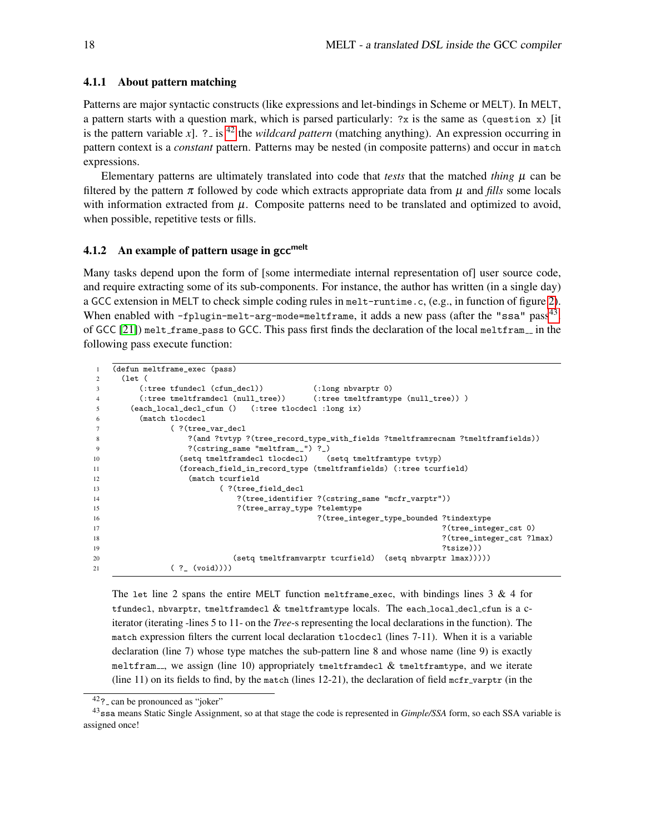#### 4.1.1 About pattern matching

Patterns are major syntactic constructs (like expressions and let-bindings in Scheme or MELT). In MELT, a pattern starts with a question mark, which is parsed particularly:  $\gamma$ x is the same as (question x) [it is the pattern variable *x*]. ? is <sup>[42](#page-17-0)</sup> the *wildcard pattern* (matching anything). An expression occurring in pattern context is a *constant* pattern. Patterns may be nested (in composite patterns) and occur in match expressions.

Elementary patterns are ultimately translated into code that *tests* that the matched *thing*  $\mu$  can be filtered by the pattern  $\pi$  followed by code which extracts appropriate data from  $\mu$  and *fills* some locals with information extracted from  $\mu$ . Composite patterns need to be translated and optimized to avoid, when possible, repetitive tests or fills.

#### <span id="page-17-2"></span>4.1.2 An example of pattern usage in  $\rm gcc^{melt}$

Many tasks depend upon the form of [some intermediate internal representation of] user source code, and require extracting some of its sub-components. For instance, the author has written (in a single day) a GCC extension in MELT to check simple coding rules in melt-runtime.c, (e.g., in function of figure [2\)](#page-5-2). When enabled with -fplugin-melt-arg-mode=meltframe, it adds a new pass (after the "ssa" pass $^{43}.$  $^{43}.$  $^{43}.$ of GCC  $[21]$ ) melt\_frame\_pass to GCC. This pass first finds the declaration of the local meltfram<sub>--</sub> in the following pass execute function:

```
1 (defun meltframe_exec (pass)
2 (let (
3 (:tree tfundecl (cfun_decl)) (:long nbvarptr 0)
4 (:tree tmeltframdecl (null_tree)) (:tree tmeltframtype (null_tree)) )
5 (each_local_decl_cfun () (:tree tlocdecl :long ix)
6 (match tlocdecl
7 ( ?(tree_var_decl
8 ?(and ?tvtyp ?(tree_record_type_with_fields ?tmeltframrecnam ?tmeltframfields))
9 ?(cstring_same "meltfram__") ?_)
10 (setq tmeltframdecl tlocdecl) (setq tmeltframtype tvtyp)
11 (foreach_field_in_record_type (tmeltframfields) (:tree tcurfield)
12 (match tcurfield
13 (?(tree_field_decl
14 ?(tree_identifier ?(cstring_same "mcfr_varptr"))
15 ?(tree_array_type ?telemtype
16 ?(tree_integer_type_bounded ?tindextype
17 ?(tree_integer_cst 0)
18 ?(tree_integer_cst ?lmax)
\frac{19}{19} ?tsize)))
20 (setq tmeltframvarptr tcurfield) (setq nbvarptr lmax)))))
21 ( ? (void))))
```
The let line 2 spans the entire MELT function melttrame exec, with bindings lines  $3 \& 4$  for tfundecl, nbvarptr, tmeltframdecl & tmeltframtype locals. The each local decl cfun is a citerator (iterating -lines 5 to 11- on the *Tree*-s representing the local declarations in the function). The match expression filters the current local declaration tlocdecl (lines 7-11). When it is a variable declaration (line 7) whose type matches the sub-pattern line 8 and whose name (line 9) is exactly meltfram<sub>--</sub>, we assign (line 10) appropriately tmeltframdecl  $&$  tmeltframtype, and we iterate (line 11) on its fields to find, by the match (lines  $12-21$ ), the declaration of field mcfr varptr (in the

<span id="page-17-1"></span><span id="page-17-0"></span> $42$ ? can be pronounced as "joker"

<sup>43</sup>ssa means Static Single Assignment, so at that stage the code is represented in *Gimple/SSA* form, so each SSA variable is assigned once!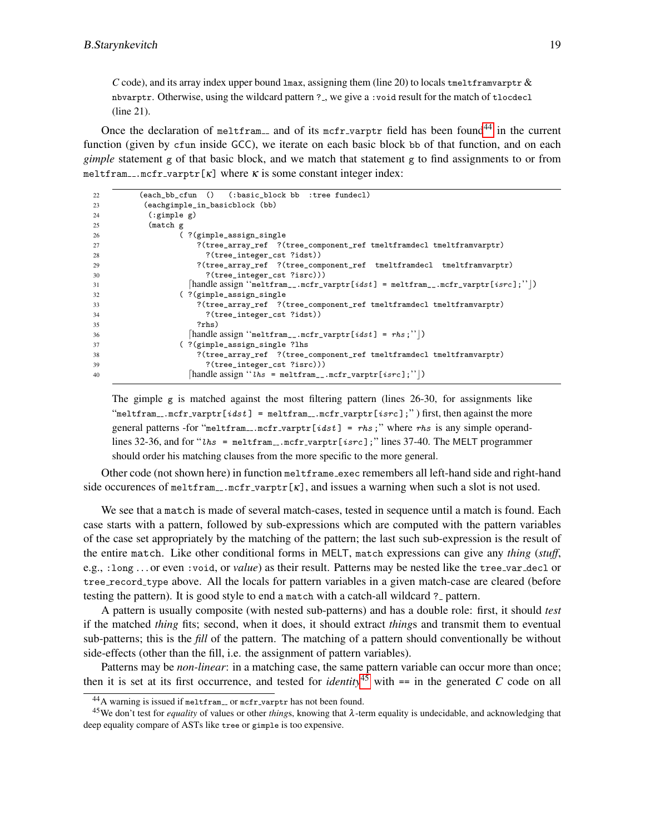*C* code), and its array index upper bound  $\text{Lmax}$ , assigning them (line 20) to locals tmeltframvarptr & nbvarptr. Otherwise, using the wildcard pattern ? , we give a :void result for the match of tlocdecl (line 21).

Once the declaration of melttram and of its mcfr varptr field has been found<sup>[44](#page-18-0)</sup> in the current function (given by cfun inside GCC), we iterate on each basic block bb of that function, and on each *gimple* statement g of that basic block, and we match that statement g to find assignments to or from meltfram ...  $mcfr_varptr[k]$  where  $\kappa$  is some constant integer index:

| 22 | (each_bb_cfun () (:basic_block bb :tree fundecl)                                                  |
|----|---------------------------------------------------------------------------------------------------|
| 23 | (eachgimple_in_basicblock (bb)                                                                    |
| 24 | (:simple g)                                                                                       |
| 25 | (match g)                                                                                         |
| 26 | (?(gimple_assign_single)?                                                                         |
| 27 | ?(tree_array_ref ?(tree_component_ref tmeltframdecl tmeltframvarptr)                              |
| 28 | ?(tree_integer_cst ?idst))                                                                        |
| 29 | ?(tree_array_ref ?(tree_component_ref tmeltframdecl tmeltframvarptr)                              |
| 30 | ?(tree_integer_cst ?isrc)))                                                                       |
| 31 | handle assign "meltfram__.mcfr_varptr[idst] = meltfram__.mcfr_varptr[isrc];" )                    |
| 32 | (?(gimple_assign_single)?                                                                         |
| 33 | ?(tree_array_ref ?(tree_component_ref tmeltframdecl tmeltframvarptr)                              |
| 34 | ?(tree_integer_cst ?idst))                                                                        |
| 35 | ? <sub>rhs</sub>                                                                                  |
| 36 | $ \text{handle assign "meltram}\_\text{m} \text{er}\_\text{varptr}[idx] = \text{rhs};\text{''} )$ |
| 37 | (?(gimple_assign_single?lhs                                                                       |
| 38 | ?(tree_array_ref ?(tree_component_ref tmeltframdecl tmeltframvarptr)                              |
| 39 | ?(tree_integer_cst ?isrc)))                                                                       |
| 40 | $\mathcal{L}$ handle assign " <i>lhs</i> = meltfram <sub>--</sub> .mcfr_varptr[isrc];"  )         |

The gimple g is matched against the most filtering pattern (lines 26-30, for assignments like "meltfram...mcfr\_varptr[idst] = meltfram...mcfr\_varptr[isrc];") first, then against the more general patterns -for "meltfram...mcfr\_varptr[idst] =  $rhs$ ;" where  $rhs$  is any simple operandlines 32-36, and for "lhs = meltfram...mcfr\_varptr[isrc];" lines 37-40. The MELT programmer should order his matching clauses from the more specific to the more general.

Other code (not shown here) in function meltframe exec remembers all left-hand side and right-hand side occurences of meltfram \_\_.  $mcfr$  varptr[ $\kappa$ ], and issues a warning when such a slot is not used.

We see that a match is made of several match-cases, tested in sequence until a match is found. Each case starts with a pattern, followed by sub-expressions which are computed with the pattern variables of the case set appropriately by the matching of the pattern; the last such sub-expression is the result of the entire match. Like other conditional forms in MELT, match expressions can give any *thing* (*stuff*, e.g., : long ... or even : void, or *value*) as their result. Patterns may be nested like the tree\_var\_decl or tree record type above. All the locals for pattern variables in a given match-case are cleared (before testing the pattern). It is good style to end a match with a catch-all wildcard ? pattern.

A pattern is usually composite (with nested sub-patterns) and has a double role: first, it should *test* if the matched *thing* fits; second, when it does, it should extract *thing*s and transmit them to eventual sub-patterns; this is the *fill* of the pattern. The matching of a pattern should conventionally be without side-effects (other than the fill, i.e. the assignment of pattern variables).

Patterns may be *non-linear*: in a matching case, the same pattern variable can occur more than once; then it is set at its first occurrence, and tested for *identity*<sup>[45](#page-18-1)</sup> with  $=$  in the generated *C* code on all

<span id="page-18-1"></span><span id="page-18-0"></span> $^{44}$ A warning is issued if meltfram<sub>-c</sub> or mcfr<sub>-varptr</sub> has not been found.

<sup>45</sup>We don't test for *equality* of values or other *thing*s, knowing that λ-term equality is undecidable, and acknowledging that deep equality compare of ASTs like tree or gimple is too expensive.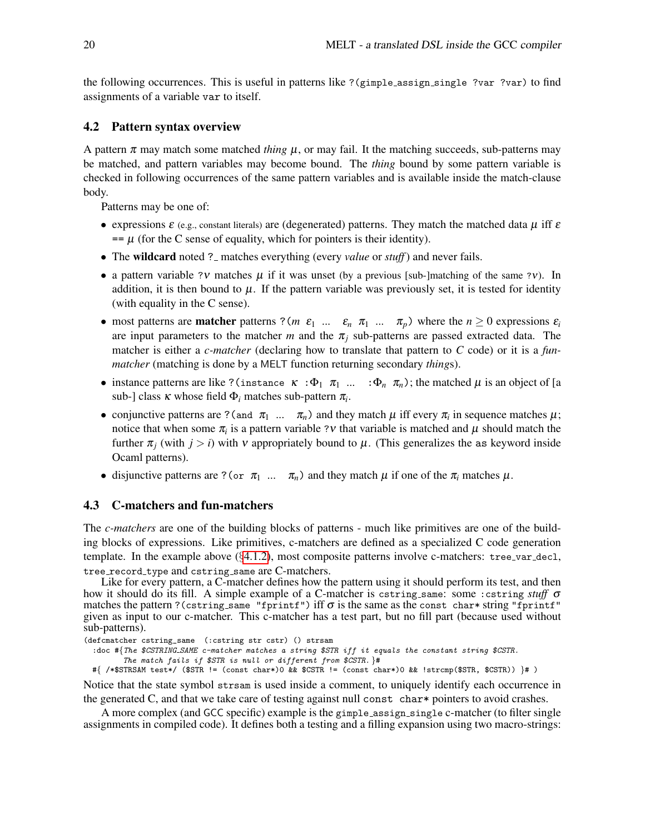the following occurrences. This is useful in patterns like ?(gimple assign single ?var ?var) to find assignments of a variable var to itself.

## 4.2 Pattern syntax overview

A pattern  $\pi$  may match some matched *thing*  $\mu$ , or may fail. It the matching succeeds, sub-patterns may be matched, and pattern variables may become bound. The *thing* bound by some pattern variable is checked in following occurrences of the same pattern variables and is available inside the match-clause body.

Patterns may be one of:

- expressions  $\varepsilon$  (e.g., constant literals) are (degenerated) patterns. They match the matched data  $\mu$  iff  $\varepsilon$  $= \mu$  (for the C sense of equality, which for pointers is their identity).
- The **wildcard** noted ? \_ matches everything (every *value* or *stuff*) and never fails.
- a pattern variable ?v matches  $\mu$  if it was unset (by a previous [sub-]matching of the same ?v). In addition, it is then bound to  $\mu$ . If the pattern variable was previously set, it is tested for identity (with equality in the C sense).
- most patterns are **matcher** patterns ? (*m*  $\varepsilon_1$  ...  $\varepsilon_n$   $\pi_1$  ...  $\pi_p$ ) where the  $n \ge 0$  expressions  $\varepsilon_i$ are input parameters to the matcher *m* and the  $\pi$ <sub>*i*</sub> sub-patterns are passed extracted data. The matcher is either a *c-matcher* (declaring how to translate that pattern to *C* code) or it is a *funmatcher* (matching is done by a MELT function returning secondary *thing*s).
- instance patterns are like ?(instance  $\kappa : \Phi_1 \pi_1 ... : \Phi_n \pi_n$ ); the matched  $\mu$  is an object of [a sub-] class  $\kappa$  whose field  $\Phi_i$  matches sub-pattern  $\pi_i$ .
- conjunctive patterns are ? (and  $\pi_1$  ...  $\pi_n$ ) and they match  $\mu$  iff every  $\pi_i$  in sequence matches  $\mu$ ; notice that when some  $\pi$ <sub>*i*</sub> is a pattern variable ?*v* that variable is matched and  $\mu$  should match the further  $\pi$ <sub>*i*</sub> (with  $j > i$ ) with v appropriately bound to  $\mu$ . (This generalizes the as keyword inside Ocaml patterns).
- disjunctive patterns are ? (or  $\pi_1$  ...  $\pi_n$ ) and they match  $\mu$  if one of the  $\pi_i$  matches  $\mu$ .

## <span id="page-19-0"></span>4.3 C-matchers and fun-matchers

The *c-matchers* are one of the building blocks of patterns - much like primitives are one of the building blocks of expressions. Like primitives, c-matchers are defined as a specialized C code generation template. In the example above  $(\S 4.1.2)$  $(\S 4.1.2)$ , most composite patterns involve c-matchers: tree\_var\_decl, tree\_record\_type and cstring\_same are C-matchers.

Like for every pattern, a C-matcher defines how the pattern using it should perform its test, and then how it should do its fill. A simple example of a C-matcher is cstring same: some :cstring *stuff* σ matches the pattern ?(cstring same "fprintf") iff  $\sigma$  is the same as the const char\* string "fprintf" given as input to our c-matcher. This c-matcher has a test part, but no fill part (because used without sub-patterns).

(defcmatcher cstring\_same (:cstring str cstr) () strsam

:doc #{The \$CSTRING SAME c-matcher matches a string \$STR iff it equals the constant string \$CSTR.

The match fails if  $$STR$  is null or different from  $$CSTR.$  }#

#{ /\*\$STRSAM test\*/ (\$STR != (const char\*)0 && \$CSTR != (const char\*)0 && !strcmp(\$STR, \$CSTR)) }# )

Notice that the state symbol strsam is used inside a comment, to uniquely identify each occurrence in the generated C, and that we take care of testing against null const char\* pointers to avoid crashes.

A more complex (and GCC specific) example is the gimple assign single c-matcher (to filter single assignments in compiled code). It defines both a testing and a filling expansion using two macro-strings: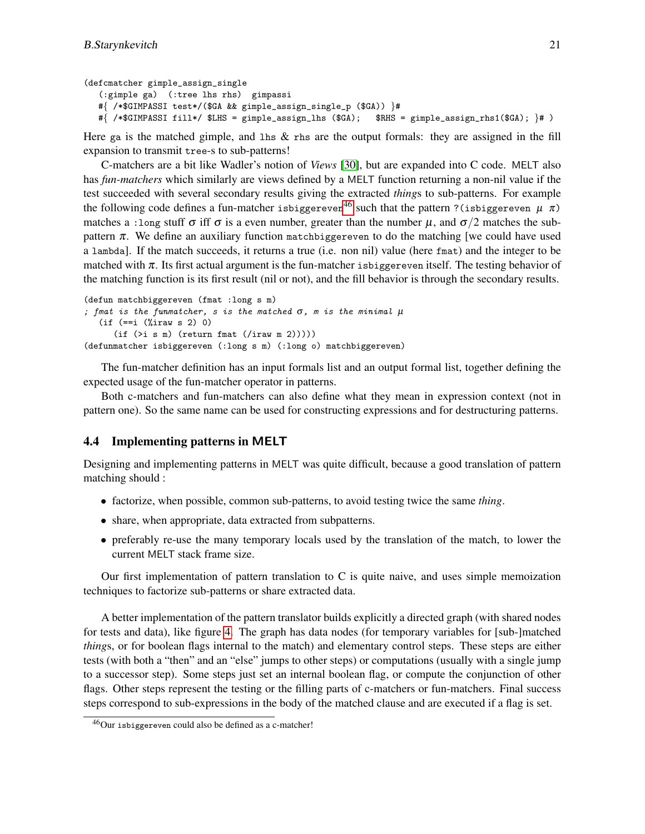```
(defcmatcher gimple_assign_single
   (:gimple ga) (:tree lhs rhs) gimpassi
  #{ /*$GIMPASSI test*/($GA && gimple_assign_single_p ($GA)) }#
  #{ /*$GIMPASSI fill*/ $LHS = gimple_assign_lhs ($GA); $RHS = gimple_assign_rhs1($GA); }# )
```
Here ga is the matched gimple, and lhs  $\&$  rhs are the output formals: they are assigned in the fill expansion to transmit tree-s to sub-patterns!

C-matchers are a bit like Wadler's notion of *Views* [\[30\]](#page-24-13), but are expanded into C code. MELT also has *fun-matchers* which similarly are views defined by a MELT function returning a non-nil value if the test succeeded with several secondary results giving the extracted *thing*s to sub-patterns. For example the following code defines a fun-matcher isbiggereven<sup>[46](#page-20-1)</sup> such that the pattern ?(isbiggereven  $\mu \pi$ ) matches a : long stuff  $\sigma$  iff  $\sigma$  is a even number, greater than the number  $\mu$ , and  $\sigma/2$  matches the subpattern  $\pi$ . We define an auxiliary function matchbiggereven to do the matching [we could have used a lambda]. If the match succeeds, it returns a true (i.e. non nil) value (here fmat) and the integer to be matched with  $\pi$ . Its first actual argument is the fun-matcher isolating itself. The testing behavior of the matching function is its first result (nil or not), and the fill behavior is through the secondary results.

```
(defun matchbiggereven (fmat :long s m)
; fmat is the funmatcher, s is the matched \sigma, m is the minimal \mu(if (==i (%iraw s 2) 0)
      (if (>\infty s m) (return frant (/iraw m 2))))(defunmatcher isbiggereven (:long s m) (:long o) matchbiggereven)
```
The fun-matcher definition has an input formals list and an output formal list, together defining the expected usage of the fun-matcher operator in patterns.

Both c-matchers and fun-matchers can also define what they mean in expression context (not in pattern one). So the same name can be used for constructing expressions and for destructuring patterns.

#### <span id="page-20-0"></span>4.4 Implementing patterns in MELT

Designing and implementing patterns in MELT was quite difficult, because a good translation of pattern matching should :

- factorize, when possible, common sub-patterns, to avoid testing twice the same *thing*.
- share, when appropriate, data extracted from subpatterns.
- preferably re-use the many temporary locals used by the translation of the match, to lower the current MELT stack frame size.

Our first implementation of pattern translation to C is quite naive, and uses simple memoization techniques to factorize sub-patterns or share extracted data.

A better implementation of the pattern translator builds explicitly a directed graph (with shared nodes for tests and data), like figure [4.](#page-22-0) The graph has data nodes (for temporary variables for [sub-]matched *thing*s, or for boolean flags internal to the match) and elementary control steps. These steps are either tests (with both a "then" and an "else" jumps to other steps) or computations (usually with a single jump to a successor step). Some steps just set an internal boolean flag, or compute the conjunction of other flags. Other steps represent the testing or the filling parts of c-matchers or fun-matchers. Final success steps correspond to sub-expressions in the body of the matched clause and are executed if a flag is set.

<span id="page-20-1"></span><sup>46</sup>Our isbiggereven could also be defined as a c-matcher!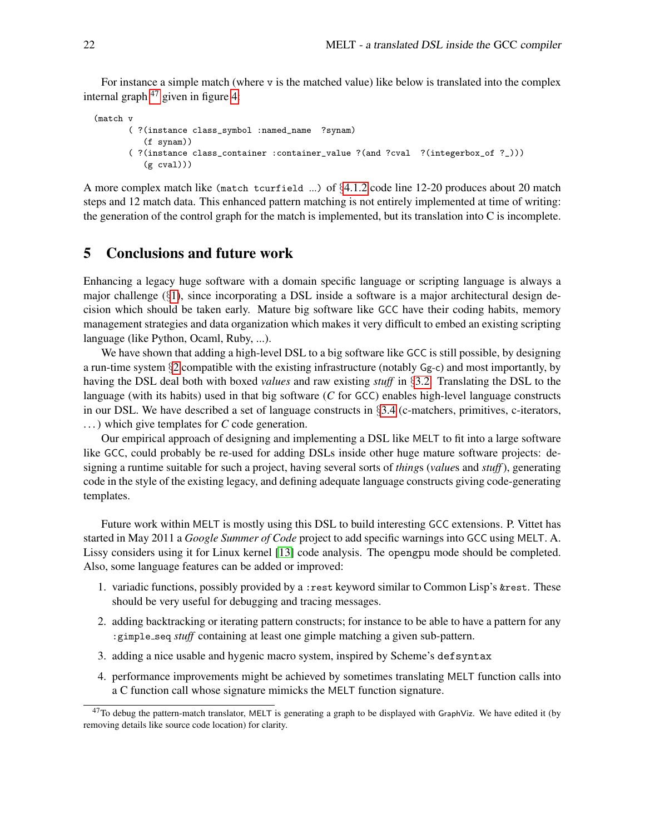For instance a simple match (where v is the matched value) like below is translated into the complex internal graph  $47$  given in figure [4:](#page-22-0)

```
(match v
       ( ?(instance class_symbol :named_name ?synam)
          (f synam))
       ( ?(instance class_container :container_value ?(and ?cval ?(integerbox_of ?_)))
          (g \text{ eval}))
```
A more complex match like (match tcurfield ...) of  $\S4.1.2$  $\S4.1.2$  code line 12-20 produces about 20 match steps and 12 match data. This enhanced pattern matching is not entirely implemented at time of writing: the generation of the control graph for the match is implemented, but its translation into C is incomplete.

## 5 Conclusions and future work

Enhancing a legacy huge software with a domain specific language or scripting language is always a major challenge  $(\S1)$  $(\S1)$ , since incorporating a DSL inside a software is a major architectural design decision which should be taken early. Mature big software like GCC have their coding habits, memory management strategies and data organization which makes it very difficult to embed an existing scripting language (like Python, Ocaml, Ruby, ...).

We have shown that adding a high-level DSL to a big software like GCC is still possible, by designing a run-time system §[2](#page-4-5) compatible with the existing infrastructure (notably Gg-c) and most importantly, by having the DSL deal both with boxed *values* and raw existing *stuff* in §[3.2.](#page-9-4) Translating the DSL to the language (with its habits) used in that big software (*C* for GCC) enables high-level language constructs in our DSL. We have described a set of language constructs in §[3.4](#page-14-1) (c-matchers, primitives, c-iterators, . . . ) which give templates for *C* code generation.

Our empirical approach of designing and implementing a DSL like MELT to fit into a large software like GCC, could probably be re-used for adding DSLs inside other huge mature software projects: designing a runtime suitable for such a project, having several sorts of *thing*s (*value*s and *stuff*), generating code in the style of the existing legacy, and defining adequate language constructs giving code-generating templates.

Future work within MELT is mostly using this DSL to build interesting GCC extensions. P. Vittet has started in May 2011 a *Google Summer of Code* project to add specific warnings into GCC using MELT. A. Lissy considers using it for Linux kernel [\[13\]](#page-23-12) code analysis. The opengpu mode should be completed. Also, some language features can be added or improved:

- 1. variadic functions, possibly provided by a : rest keyword similar to Common Lisp's &rest. These should be very useful for debugging and tracing messages.
- 2. adding backtracking or iterating pattern constructs; for instance to be able to have a pattern for any :gimple\_seq *stuff* containing at least one gimple matching a given sub-pattern.
- 3. adding a nice usable and hygenic macro system, inspired by Scheme's defsyntax
- 4. performance improvements might be achieved by sometimes translating MELT function calls into a C function call whose signature mimicks the MELT function signature.

<span id="page-21-0"></span> $47$ To debug the pattern-match translator, MELT is generating a graph to be displayed with GraphViz. We have edited it (by removing details like source code location) for clarity.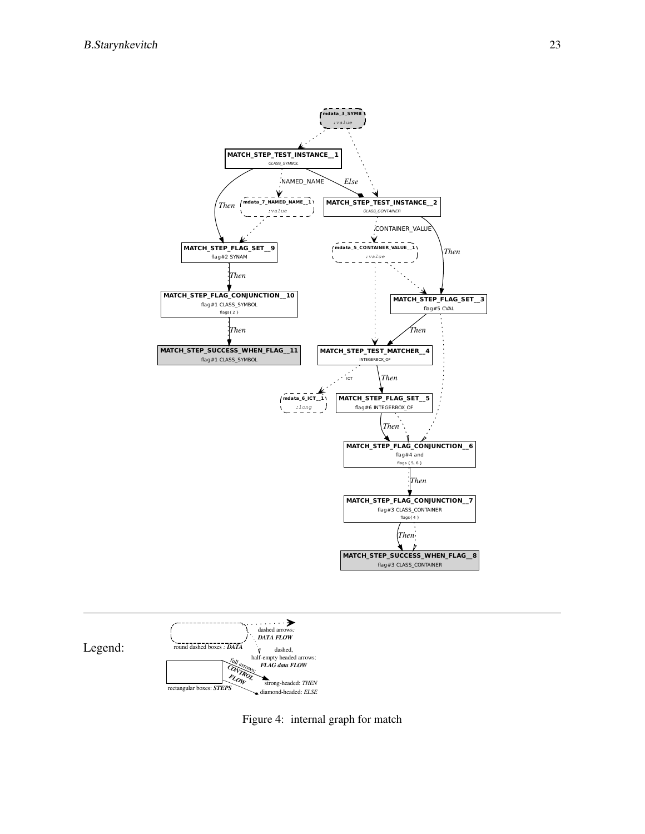



<span id="page-22-0"></span>Figure 4: internal graph for match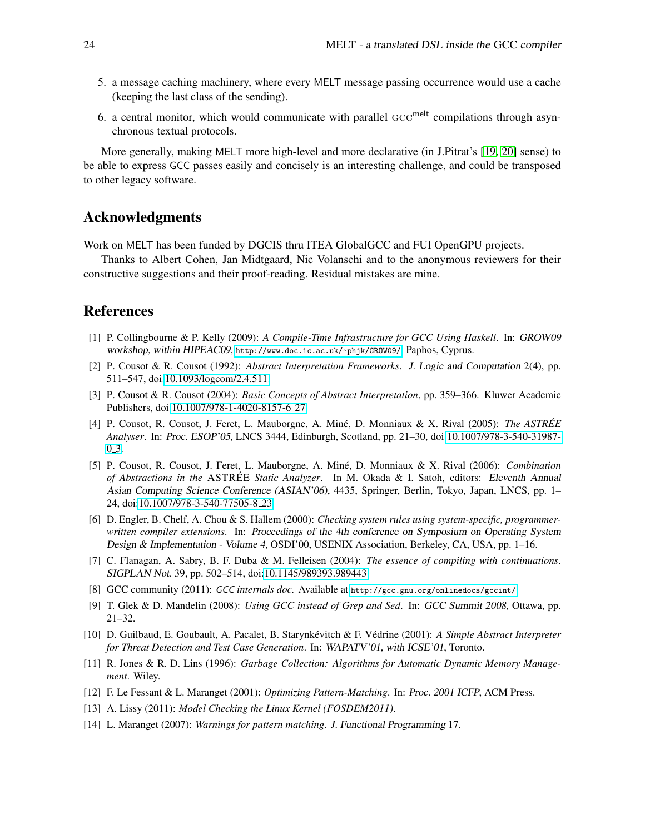- 5. a message caching machinery, where every MELT message passing occurrence would use a cache (keeping the last class of the sending).
- 6. a central monitor, which would communicate with parallel  $\mathrm{GCC}^{\mathrm{melt}}$  compilations through asynchronous textual protocols.

More generally, making MELT more high-level and more declarative (in J.Pitrat's [\[19,](#page-24-10) [20\]](#page-24-11) sense) to be able to express GCC passes easily and concisely is an interesting challenge, and could be transposed to other legacy software.

## Acknowledgments

Work on MELT has been funded by DGCIS thru ITEA GlobalGCC and FUI OpenGPU projects.

Thanks to Albert Cohen, Jan Midtgaard, Nic Volanschi and to the anonymous reviewers for their constructive suggestions and their proof-reading. Residual mistakes are mine.

## References

- <span id="page-23-7"></span>[1] P. Collingbourne & P. Kelly (2009): *A Compile-Time Infrastructure for GCC Using Haskell*. In: GROW09 workshop, within HIPEAC09, <http://www.doc.ic.ac.uk/~phjk/GROW09/>, Paphos, Cyprus.
- <span id="page-23-2"></span>[2] P. Cousot & R. Cousot (1992): *Abstract Interpretation Frameworks*. J. Logic and Computation 2(4), pp. 511–547, doi[:10.1093/logcom/2.4.511.](http://dx.doi.org/10.1093/logcom/2.4.511)
- <span id="page-23-9"></span>[3] P. Cousot & R. Cousot (2004): *Basic Concepts of Abstract Interpretation*, pp. 359–366. Kluwer Academic Publishers, doi[:10.1007/978-1-4020-8157-6](http://dx.doi.org/10.1007/978-1-4020-8157-6_27) 27.
- <span id="page-23-4"></span>[4] P. Cousot, R. Cousot, J. Feret, L. Mauborgne, A. Mine, D. Monniaux & X. Rival (2005): ´ *The ASTREE´ Analyser*. In: Proc. ESOP'05, LNCS 3444, Edinburgh, Scotland, pp. 21–30, doi[:10.1007/978-3-540-31987-](http://dx.doi.org/10.1007/978-3-540-31987-0_3)  $0_3$ .
- <span id="page-23-5"></span>[5] P. Cousot, R. Cousot, J. Feret, L. Mauborgne, A. Mine, D. Monniaux & X. Rival (2006): ´ *Combination of Abstractions in the* ASTREE´ *Static Analyzer*. In M. Okada & I. Satoh, editors: Eleventh Annual Asian Computing Science Conference (ASIAN'06), 4435, Springer, Berlin, Tokyo, Japan, LNCS, pp. 1– 24, doi[:10.1007/978-3-540-77505-8](http://dx.doi.org/10.1007/978-3-540-77505-8_23) 23.
- [6] D. Engler, B. Chelf, A. Chou & S. Hallem (2000): *Checking system rules using system-specific, programmerwritten compiler extensions*. In: Proceedings of the 4th conference on Symposium on Operating System Design & Implementation - Volume 4, OSDI'00, USENIX Association, Berkeley, CA, USA, pp. 1–16.
- <span id="page-23-8"></span>[7] C. Flanagan, A. Sabry, B. F. Duba & M. Felleisen (2004): *The essence of compiling with continuations*. SIGPLAN Not. 39, pp. 502–514, doi[:10.1145/989393.989443.](http://dx.doi.org/10.1145/989393.989443)
- <span id="page-23-0"></span>[8] GCC community (2011): GCC *internals doc.* Available at <http://gcc.gnu.org/onlinedocs/gccint/>.
- <span id="page-23-1"></span>[9] T. Glek & D. Mandelin (2008): *Using GCC instead of Grep and Sed*. In: GCC Summit 2008, Ottawa, pp. 21–32.
- <span id="page-23-3"></span>[10] D. Guilbaud, E. Goubault, A. Pacalet, B. Starynkevitch & F. V ´ edrine (2001): ´ *A Simple Abstract Interpreter for Threat Detection and Test Case Generation*. In: WAPATV'01, with ICSE'01, Toronto.
- <span id="page-23-6"></span>[11] R. Jones & R. D. Lins (1996): *Garbage Collection: Algorithms for Automatic Dynamic Memory Management*. Wiley.
- <span id="page-23-10"></span>[12] F. Le Fessant & L. Maranget (2001): *Optimizing Pattern-Matching*. In: Proc. 2001 ICFP, ACM Press.
- <span id="page-23-12"></span>[13] A. Lissy (2011): *Model Checking the Linux Kernel (FOSDEM2011)*.
- <span id="page-23-11"></span>[14] L. Maranget (2007): *Warnings for pattern matching*. J. Functional Programming 17.